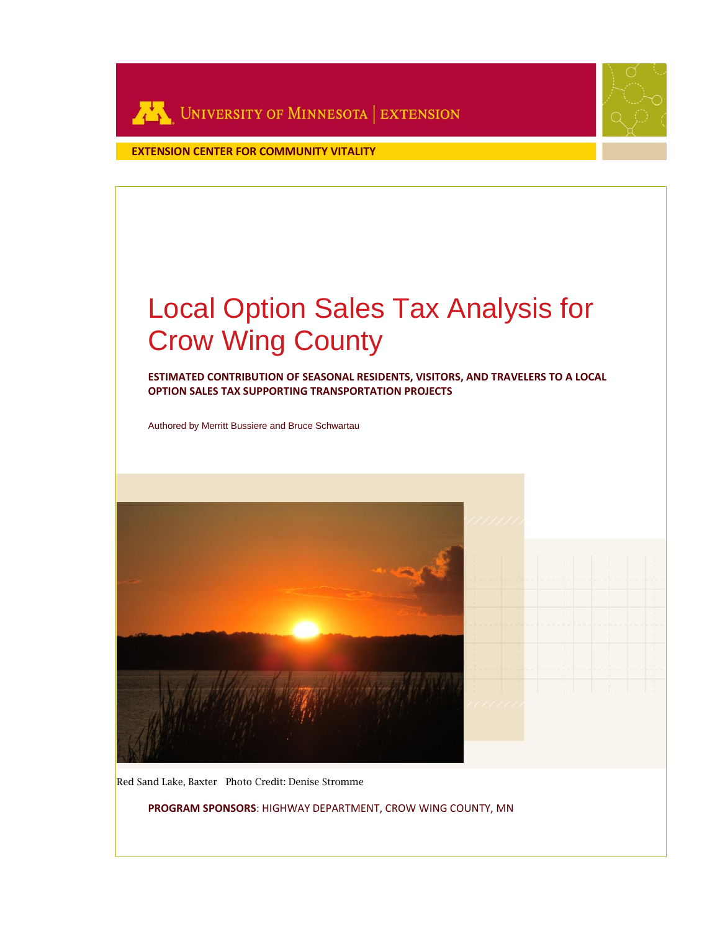

**EXTENSION CENTER FOR COMMUNITY VITALITY**

# Local Option Sales Tax Analysis for Crow Wing County

**ESTIMATED CONTRIBUTION OF SEASONAL RESIDENTS, VISITORS, AND TRAVELERS TO A LOCAL OPTION SALES TAX SUPPORTING TRANSPORTATION PROJECTS**

Authored by Merritt Bussiere and Bruce Schwartau



Red Sand Lake, Baxter Photo Credit: Denise Stromme

**PROGRAM SPONSORS**: HIGHWAY DEPARTMENT, CROW WING COUNTY, MN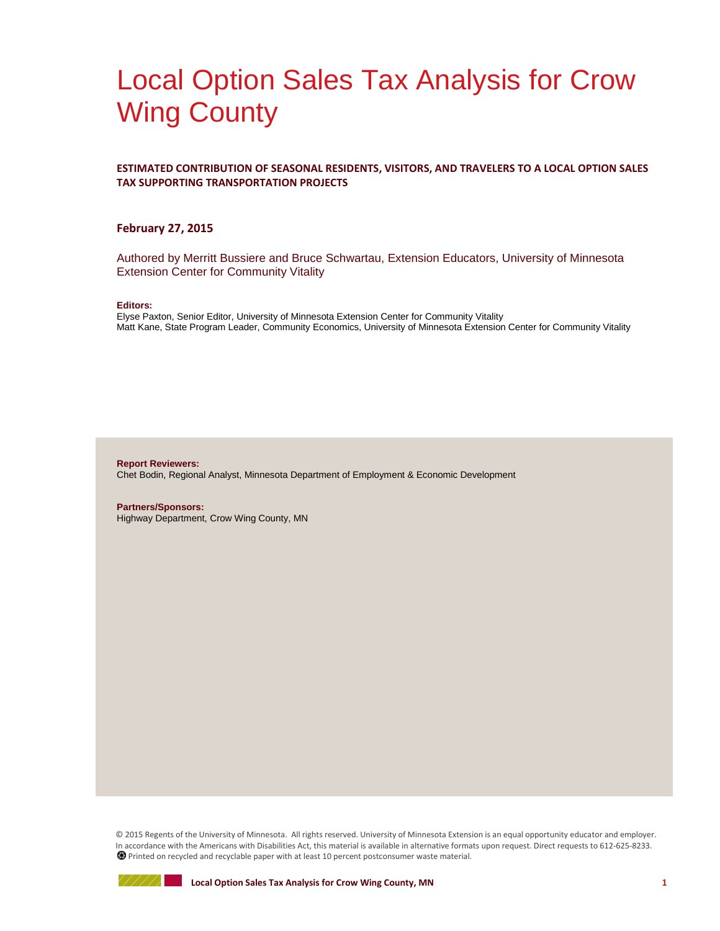## Local Option Sales Tax Analysis for Crow Wing County

#### **ESTIMATED CONTRIBUTION OF SEASONAL RESIDENTS, VISITORS, AND TRAVELERS TO A LOCAL OPTION SALES TAX SUPPORTING TRANSPORTATION PROJECTS**

#### **February 27, 2015**

Authored by Merritt Bussiere and Bruce Schwartau, Extension Educators, University of Minnesota Extension Center for Community Vitality

#### **Editors:**

Elyse Paxton, Senior Editor, University of Minnesota Extension Center for Community Vitality Matt Kane, State Program Leader, Community Economics, University of Minnesota Extension Center for Community Vitality

**Report Reviewers:** Chet Bodin, Regional Analyst, Minnesota Department of Employment & Economic Development

**Partners/Sponsors:** Highway Department, Crow Wing County, MN

© 2015 Regents of the University of Minnesota. All rights reserved. University of Minnesota Extension is an equal opportunity educator and employer. In accordance with the Americans with Disabilities Act, this material is available in alternative formats upon request. Direct requests to 612-625-8233. Printed on recycled and recyclable paper with at least 10 percent postconsumer waste material.

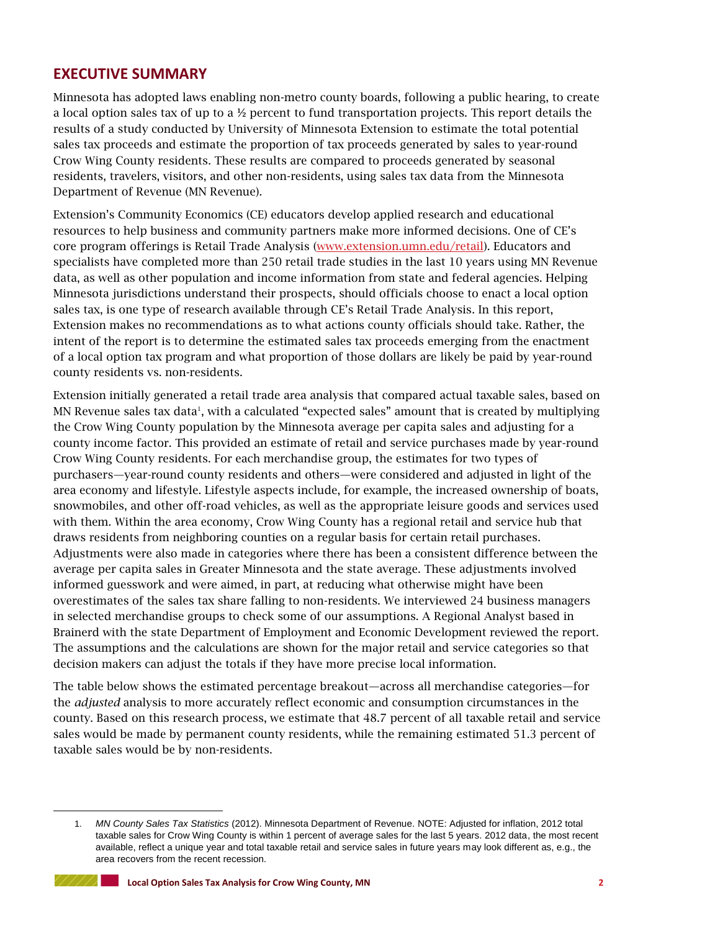## **EXECUTIVE SUMMARY**

Minnesota has adopted laws enabling non-metro county boards, following a public hearing, to create a local option sales tax of up to a ½ percent to fund transportation projects. This report details the results of a study conducted by University of Minnesota Extension to estimate the total potential sales tax proceeds and estimate the proportion of tax proceeds generated by sales to year-round Crow Wing County residents. These results are compared to proceeds generated by seasonal residents, travelers, visitors, and other non-residents, using sales tax data from the Minnesota Department of Revenue (MN Revenue).

Extension's Community Economics (CE) educators develop applied research and educational resources to help business and community partners make more informed decisions. One of CE's core program offerings is Retail Trade Analysis [\(www.extension.umn.edu/retail\)](http://www.extension.umn.edu/retail). Educators and specialists have completed more than 250 retail trade studies in the last 10 years using MN Revenue data, as well as other population and income information from state and federal agencies. Helping Minnesota jurisdictions understand their prospects, should officials choose to enact a local option sales tax, is one type of research available through CE's Retail Trade Analysis. In this report, Extension makes no recommendations as to what actions county officials should take. Rather, the intent of the report is to determine the estimated sales tax proceeds emerging from the enactment of a local option tax program and what proportion of those dollars are likely be paid by year-round county residents vs. non-residents.

Extension initially generated a retail trade area analysis that compared actual taxable sales, based on MN Revenue sales tax data<sup>1</sup>, with a calculated "expected sales" amount that is created by multiplying the Crow Wing County population by the Minnesota average per capita sales and adjusting for a county income factor. This provided an estimate of retail and service purchases made by year-round Crow Wing County residents. For each merchandise group, the estimates for two types of purchasers—year-round county residents and others—were considered and adjusted in light of the area economy and lifestyle. Lifestyle aspects include, for example, the increased ownership of boats, snowmobiles, and other off-road vehicles, as well as the appropriate leisure goods and services used with them. Within the area economy, Crow Wing County has a regional retail and service hub that draws residents from neighboring counties on a regular basis for certain retail purchases. Adjustments were also made in categories where there has been a consistent difference between the average per capita sales in Greater Minnesota and the state average. These adjustments involved informed guesswork and were aimed, in part, at reducing what otherwise might have been overestimates of the sales tax share falling to non-residents. We interviewed 24 business managers in selected merchandise groups to check some of our assumptions. A Regional Analyst based in Brainerd with the state Department of Employment and Economic Development reviewed the report. The assumptions and the calculations are shown for the major retail and service categories so that decision makers can adjust the totals if they have more precise local information.

The table below shows the estimated percentage breakout—across all merchandise categories—for the *adjusted* analysis to more accurately reflect economic and consumption circumstances in the county. Based on this research process, we estimate that 48.7 percent of all taxable retail and service sales would be made by permanent county residents, while the remaining estimated 51.3 percent of taxable sales would be by non-residents.

<sup>1.</sup> *MN County Sales Tax Statistics* (2012). Minnesota Department of Revenue. NOTE: Adjusted for inflation, 2012 total taxable sales for Crow Wing County is within 1 percent of average sales for the last 5 years. 2012 data, the most recent available, reflect a unique year and total taxable retail and service sales in future years may look different as, e.g., the area recovers from the recent recession.



l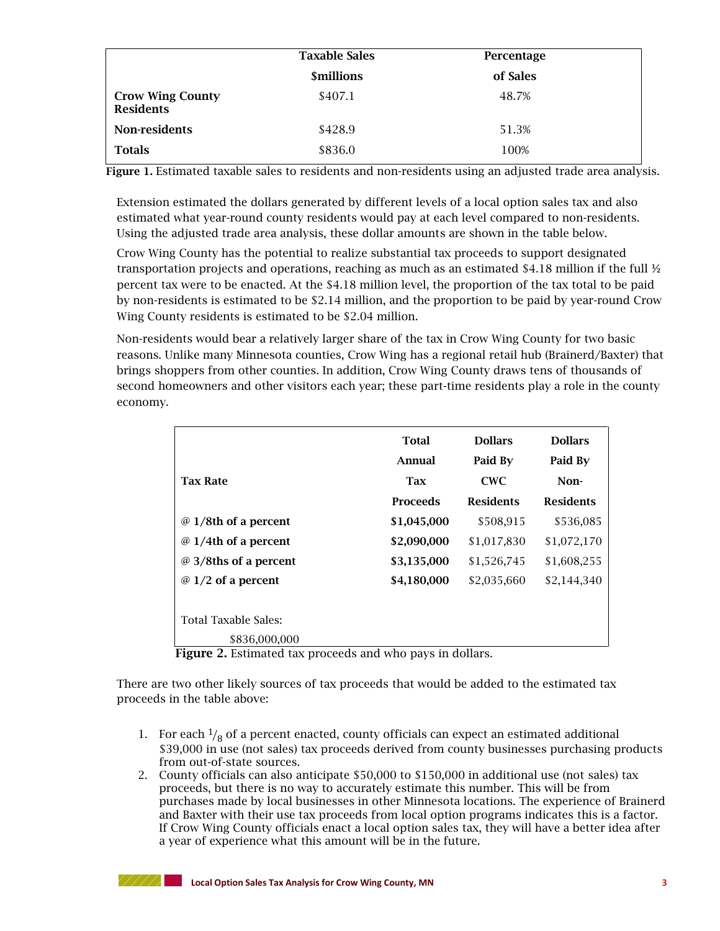|                                             | <b>Taxable Sales</b>           | Percentage |  |
|---------------------------------------------|--------------------------------|------------|--|
|                                             | <b><i><u>Smillions</u></i></b> | of Sales   |  |
| <b>Crow Wing County</b><br><b>Residents</b> | \$407.1                        | 48.7%      |  |
| Non-residents                               | \$428.9                        | 51.3%      |  |
| <b>Totals</b>                               | \$836.0                        | 100%       |  |

**Figure 1.** Estimated taxable sales to residents and non-residents using an adjusted trade area analysis.

Extension estimated the dollars generated by different levels of a local option sales tax and also estimated what year-round county residents would pay at each level compared to non-residents. Using the adjusted trade area analysis, these dollar amounts are shown in the table below.

Crow Wing County has the potential to realize substantial tax proceeds to support designated transportation projects and operations, reaching as much as an estimated \$4.18 million if the full ½ percent tax were to be enacted. At the \$4.18 million level, the proportion of the tax total to be paid by non-residents is estimated to be \$2.14 million, and the proportion to be paid by year-round Crow Wing County residents is estimated to be \$2.04 million.

Non-residents would bear a relatively larger share of the tax in Crow Wing County for two basic reasons. Unlike many Minnesota counties, Crow Wing has a regional retail hub (Brainerd/Baxter) that brings shoppers from other counties. In addition, Crow Wing County draws tens of thousands of second homeowners and other visitors each year; these part-time residents play a role in the county economy.

|                                              | <b>Total</b><br>Annual | <b>Dollars</b><br>Paid By | <b>Dollars</b><br>Paid By |
|----------------------------------------------|------------------------|---------------------------|---------------------------|
| <b>Tax Rate</b>                              | <b>Tax</b>             | <b>CWC</b>                | Non-                      |
|                                              | Proceeds               | <b>Residents</b>          | <b>Residents</b>          |
| @ 1/8th of a percent                         | \$1,045,000            | \$508,915                 | \$536,085                 |
| @ 1/4th of a percent                         | \$2,090,000            | \$1,017,830               | \$1,072,170               |
| @ 3/8ths of a percent                        | \$3,135,000            | \$1,526,745               | \$1,608,255               |
| $\varnothing$ 1/2 of a percent               | \$4,180,000            | \$2,035,660               | \$2,144,340               |
| <b>Total Taxable Sales:</b><br>\$836,000,000 |                        |                           |                           |

 **Figure 2.** Estimated tax proceeds and who pays in dollars.

There are two other likely sources of tax proceeds that would be added to the estimated tax proceeds in the table above:

- 1. For each  $\frac{1}{8}$  of a percent enacted, county officials can expect an estimated additional \$39,000 in use (not sales) tax proceeds derived from county businesses purchasing products from out-of-state sources.
- 2. County officials can also anticipate \$50,000 to \$150,000 in additional use (not sales) tax proceeds, but there is no way to accurately estimate this number. This will be from purchases made by local businesses in other Minnesota locations. The experience of Brainerd and Baxter with their use tax proceeds from local option programs indicates this is a factor. If Crow Wing County officials enact a local option sales tax, they will have a better idea after a year of experience what this amount will be in the future.

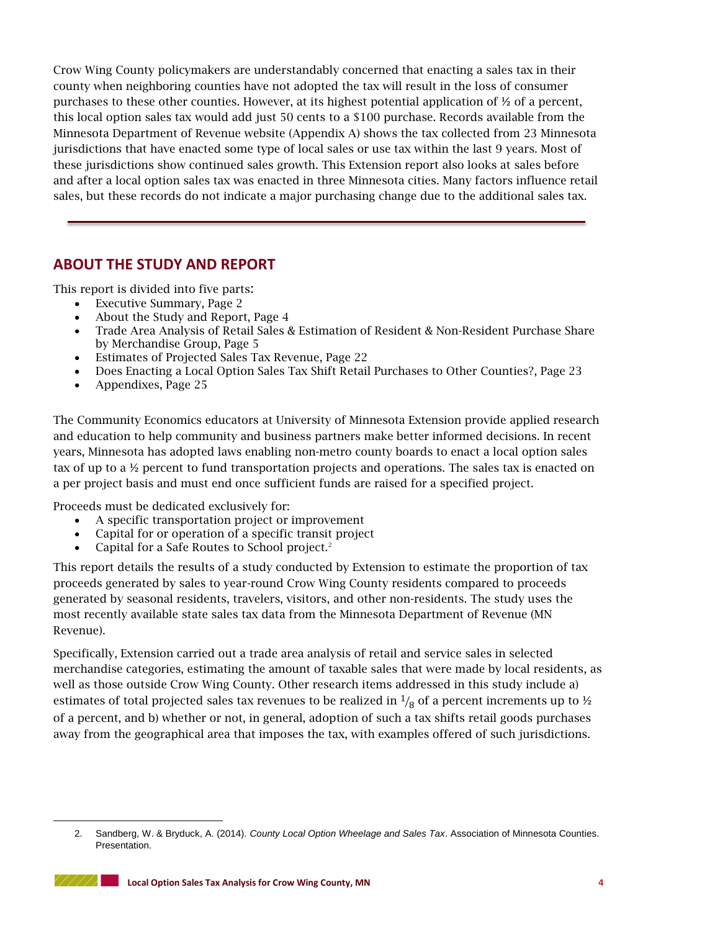Crow Wing County policymakers are understandably concerned that enacting a sales tax in their county when neighboring counties have not adopted the tax will result in the loss of consumer purchases to these other counties. However, at its highest potential application of  $\frac{1}{2}$  of a percent, this local option sales tax would add just 50 cents to a \$100 purchase. Records available from the Minnesota Department of Revenue website (Appendix A) shows the tax collected from 23 Minnesota jurisdictions that have enacted some type of local sales or use tax within the last 9 years. Most of these jurisdictions show continued sales growth. This Extension report also looks at sales before and after a local option sales tax was enacted in three Minnesota cities. Many factors influence retail sales, but these records do not indicate a major purchasing change due to the additional sales tax.

## **ABOUT THE STUDY AND REPORT**

This report is divided into five parts:

- Executive Summary, Page 2
- About the Study and Report, Page 4
- Trade Area Analysis of Retail Sales & Estimation of Resident & Non-Resident Purchase Share by Merchandise Group, Page 5
- Estimates of Projected Sales Tax Revenue, Page 22
- Does Enacting a Local Option Sales Tax Shift Retail Purchases to Other Counties?, Page 23
- Appendixes, Page 25

The Community Economics educators at University of Minnesota Extension provide applied research and education to help community and business partners make better informed decisions. In recent years, Minnesota has adopted laws enabling non-metro county boards to enact a local option sales tax of up to a ½ percent to fund transportation projects and operations. The sales tax is enacted on a per project basis and must end once sufficient funds are raised for a specified project.

Proceeds must be dedicated exclusively for:

- A specific transportation project or improvement
- Capital for or operation of a specific transit project
- Capital for a Safe Routes to School project.<sup>2</sup>

This report details the results of a study conducted by Extension to estimate the proportion of tax proceeds generated by sales to year-round Crow Wing County residents compared to proceeds generated by seasonal residents, travelers, visitors, and other non-residents. The study uses the most recently available state sales tax data from the Minnesota Department of Revenue (MN Revenue).

Specifically, Extension carried out a trade area analysis of retail and service sales in selected merchandise categories, estimating the amount of taxable sales that were made by local residents, as well as those outside Crow Wing County. Other research items addressed in this study include a) estimates of total projected sales tax revenues to be realized in  $\frac{1}{8}$  of a percent increments up to  $\frac{1}{2}$ of a percent, and b) whether or not, in general, adoption of such a tax shifts retail goods purchases away from the geographical area that imposes the tax, with examples offered of such jurisdictions.

1

<sup>2.</sup> Sandberg, W. & Bryduck, A. (2014). *County Local Option Wheelage and Sales Tax*. Association of Minnesota Counties. Presentation.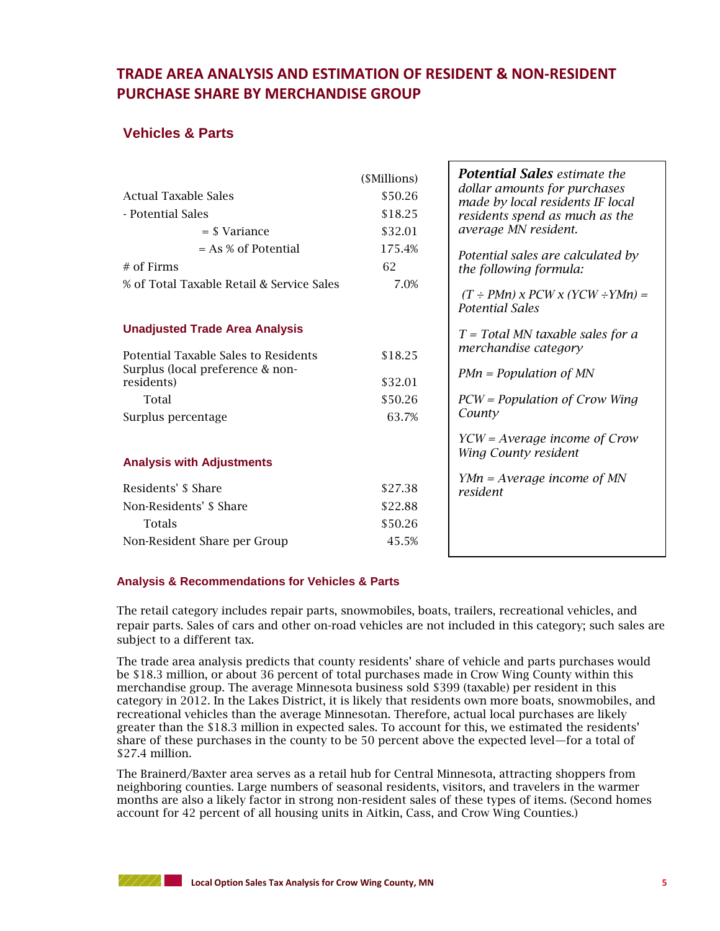## **TRADE AREA ANALYSIS AND ESTIMATION OF RESIDENT & NON-RESIDENT PURCHASE SHARE BY MERCHANDISE GROUP**

## **Vehicles & Parts**

|                                                | (\$Millions) | <b>Potential Sales</b> estimate the<br>dollar amounts for purchases           |
|------------------------------------------------|--------------|-------------------------------------------------------------------------------|
| <b>Actual Taxable Sales</b>                    | \$50.26      | made by local residents IF local                                              |
| - Potential Sales                              | \$18.25      | residents spend as much as the                                                |
| $=$ \$ Variance                                | \$32.01      | average MN resident.                                                          |
| $= As % of Potential$                          | 175.4%       | Potential sales are calculated by                                             |
| $#$ of Firms                                   | 62           | the following formula:                                                        |
| % of Total Taxable Retail & Service Sales      | 7.0%         | $(T \div P M n)$ x $P C W$ x $(Y C W \div Y M n) =$<br><b>Potential Sales</b> |
| <b>Unadjusted Trade Area Analysis</b>          |              | $T = Total MN$ taxable sales for a                                            |
| Potential Taxable Sales to Residents           | \$18.25      | merchandise category                                                          |
| Surplus (local preference & non-<br>residents) | \$32.01      | $PMn = Population of MN$                                                      |
| Total                                          | \$50.26      | $PCW = Population of Crow Wing$                                               |
| Surplus percentage                             | 63.7%        | County                                                                        |
| <b>Analysis with Adjustments</b>               |              | $YCW = Average$ income of Crow<br>Wing County resident                        |
|                                                |              | $YMn = Average income of MN$                                                  |
| Residents' \$ Share                            | \$27.38      | resident                                                                      |
| Non-Residents' \$ Share                        | \$22.88      |                                                                               |
| <b>Totals</b>                                  | \$50.26      |                                                                               |
| Non-Resident Share per Group                   | 45.5%        |                                                                               |
|                                                |              |                                                                               |

#### **Analysis & Recommendations for Vehicles & Parts**

The retail category includes repair parts, snowmobiles, boats, trailers, recreational vehicles, and repair parts. Sales of cars and other on-road vehicles are not included in this category; such sales are subject to a different tax.

The trade area analysis predicts that county residents' share of vehicle and parts purchases would be \$18.3 million, or about 36 percent of total purchases made in Crow Wing County within this merchandise group. The average Minnesota business sold \$399 (taxable) per resident in this category in 2012. In the Lakes District, it is likely that residents own more boats, snowmobiles, and recreational vehicles than the average Minnesotan. Therefore, actual local purchases are likely greater than the \$18.3 million in expected sales. To account for this, we estimated the residents' share of these purchases in the county to be 50 percent above the expected level—for a total of \$27.4 million.

The Brainerd/Baxter area serves as a retail hub for Central Minnesota, attracting shoppers from neighboring counties. Large numbers of seasonal residents, visitors, and travelers in the warmer months are also a likely factor in strong non-resident sales of these types of items. (Second homes account for 42 percent of all housing units in Aitkin, Cass, and Crow Wing Counties.)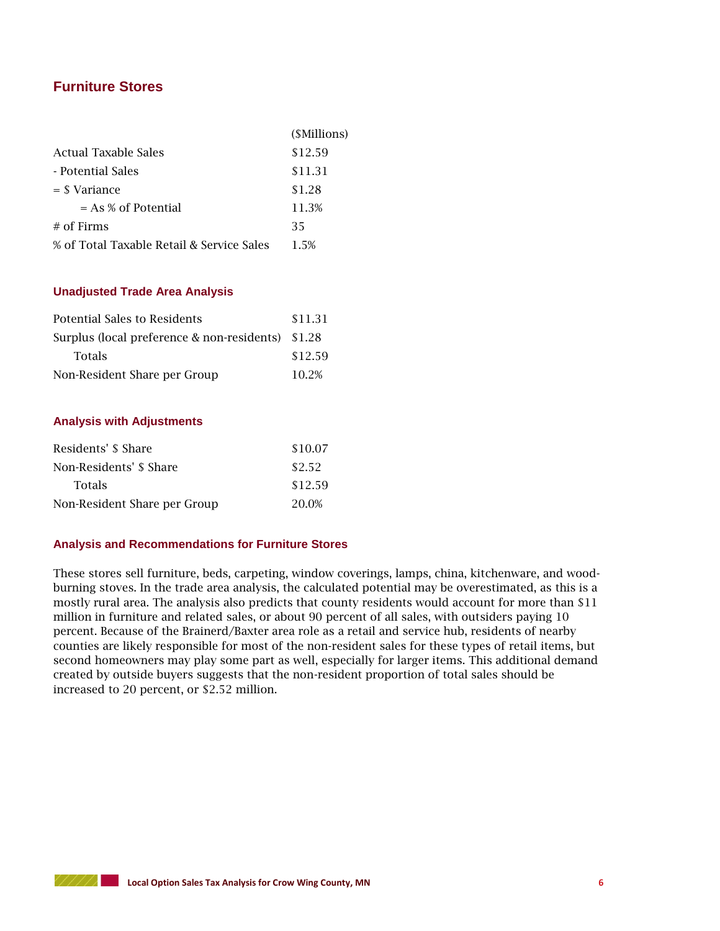## **Furniture Stores**

| Actual Taxable Sales<br>\$12.59                   |  |
|---------------------------------------------------|--|
| - Potential Sales<br>\$11.31                      |  |
| \$1.28<br>$=$ \$ Variance                         |  |
| $= As % of Potential$<br>11.3%                    |  |
| $#$ of Firms<br>35                                |  |
| % of Total Taxable Retail & Service Sales<br>1.5% |  |

#### **Unadjusted Trade Area Analysis**

| Potential Sales to Residents                      | \$11.31 |
|---------------------------------------------------|---------|
| Surplus (local preference & non-residents) \$1.28 |         |
| <b>Totals</b>                                     | \$12.59 |
| Non-Resident Share per Group                      | 10.2%   |

#### **Analysis with Adjustments**

| Residents' \$ Share          | \$10.07 |
|------------------------------|---------|
| Non-Residents' \$ Share      | \$2.52  |
| <b>Totals</b>                | \$12.59 |
| Non-Resident Share per Group | 20.0%   |

#### **Analysis and Recommendations for Furniture Stores**

These stores sell furniture, beds, carpeting, window coverings, lamps, china, kitchenware, and woodburning stoves. In the trade area analysis, the calculated potential may be overestimated, as this is a mostly rural area. The analysis also predicts that county residents would account for more than \$11 million in furniture and related sales, or about 90 percent of all sales, with outsiders paying 10 percent. Because of the Brainerd/Baxter area role as a retail and service hub, residents of nearby counties are likely responsible for most of the non-resident sales for these types of retail items, but second homeowners may play some part as well, especially for larger items. This additional demand created by outside buyers suggests that the non-resident proportion of total sales should be increased to 20 percent, or \$2.52 million.

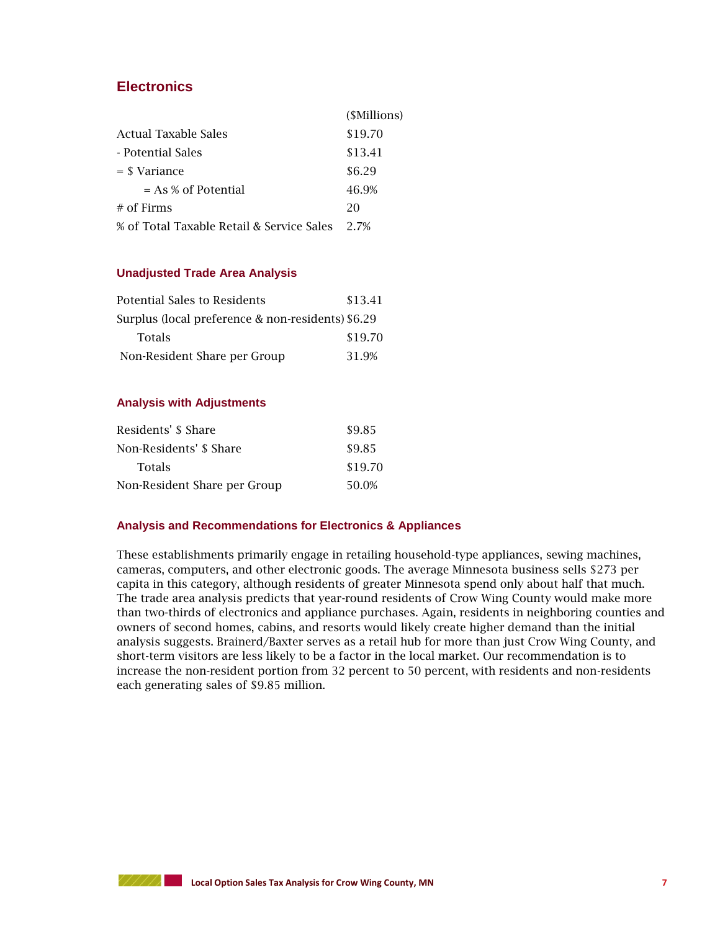## **Electronics**

|                                           | ( <i>SMillions</i> ) |
|-------------------------------------------|----------------------|
| Actual Taxable Sales                      | \$19.70              |
| - Potential Sales                         | \$13.41              |
| = \$ Variance                             | \$6.29               |
| $= As % of Potential$                     | 46.9%                |
| $#$ of Firms                              | 20                   |
| % of Total Taxable Retail & Service Sales | 2.7%                 |

#### **Unadjusted Trade Area Analysis**

| Potential Sales to Residents                      | \$13.41 |
|---------------------------------------------------|---------|
| Surplus (local preference & non-residents) \$6.29 |         |
| Totals                                            | \$19.70 |
| Non-Resident Share per Group                      | 31.9%   |

#### **Analysis with Adjustments**

| Residents' \$ Share          | \$9.85  |
|------------------------------|---------|
| Non-Residents' \$ Share      | \$9.85  |
| <b>Totals</b>                | \$19.70 |
| Non-Resident Share per Group | 50.0%   |

#### **Analysis and Recommendations for Electronics & Appliances**

These establishments primarily engage in retailing household-type appliances, sewing machines, cameras, computers, and other electronic goods. The average Minnesota business sells \$273 per capita in this category, although residents of greater Minnesota spend only about half that much. The trade area analysis predicts that year-round residents of Crow Wing County would make more than two-thirds of electronics and appliance purchases. Again, residents in neighboring counties and owners of second homes, cabins, and resorts would likely create higher demand than the initial analysis suggests. Brainerd/Baxter serves as a retail hub for more than just Crow Wing County, and short-term visitors are less likely to be a factor in the local market. Our recommendation is to increase the non-resident portion from 32 percent to 50 percent, with residents and non-residents each generating sales of \$9.85 million.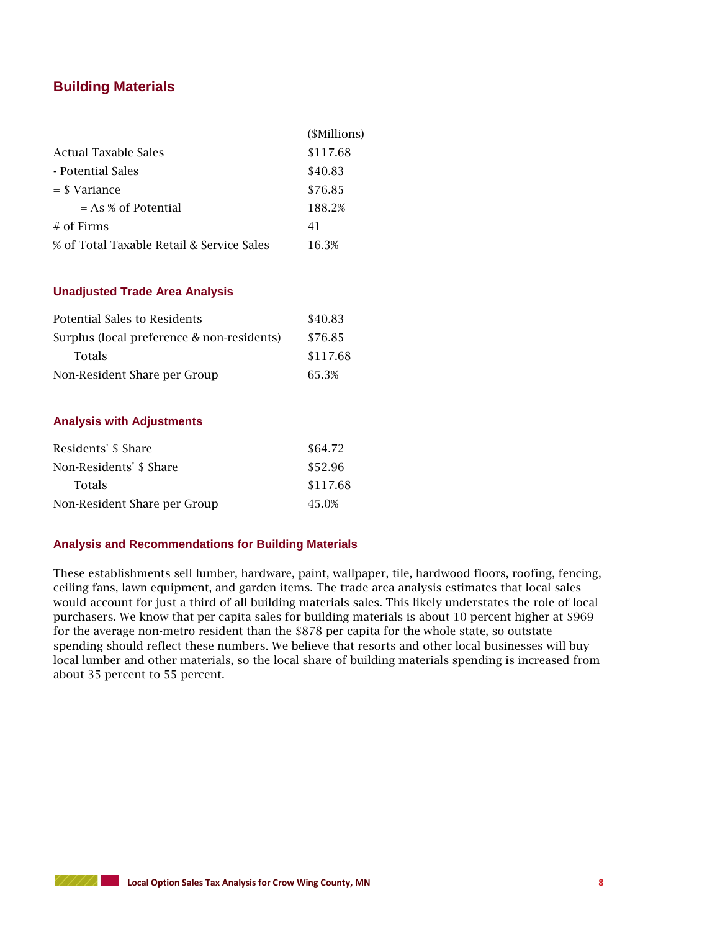## **Building Materials**

|                                           | ( <i>SMillions</i> ) |
|-------------------------------------------|----------------------|
| Actual Taxable Sales                      | \$117.68             |
| - Potential Sales                         | \$40.83              |
| $=$ \$ Variance                           | \$76.85              |
| $= As % of Potential$                     | 188.2%               |
| $#$ of Firms                              | 41                   |
| % of Total Taxable Retail & Service Sales | 16.3%                |

#### **Unadjusted Trade Area Analysis**

| Potential Sales to Residents               | \$40.83  |
|--------------------------------------------|----------|
| Surplus (local preference & non-residents) | \$76.85  |
| <b>Totals</b>                              | \$117.68 |
| Non-Resident Share per Group               | 65.3%    |

#### **Analysis with Adjustments**

| Residents' \$ Share          | \$64.72  |
|------------------------------|----------|
| Non-Residents' \$ Share      | \$52.96  |
| <b>Totals</b>                | \$117.68 |
| Non-Resident Share per Group | 45.0%    |

#### **Analysis and Recommendations for Building Materials**

These establishments sell lumber, hardware, paint, wallpaper, tile, hardwood floors, roofing, fencing, ceiling fans, lawn equipment, and garden items. The trade area analysis estimates that local sales would account for just a third of all building materials sales. This likely understates the role of local purchasers. We know that per capita sales for building materials is about 10 percent higher at \$969 for the average non-metro resident than the \$878 per capita for the whole state, so outstate spending should reflect these numbers. We believe that resorts and other local businesses will buy local lumber and other materials, so the local share of building materials spending is increased from about 35 percent to 55 percent.

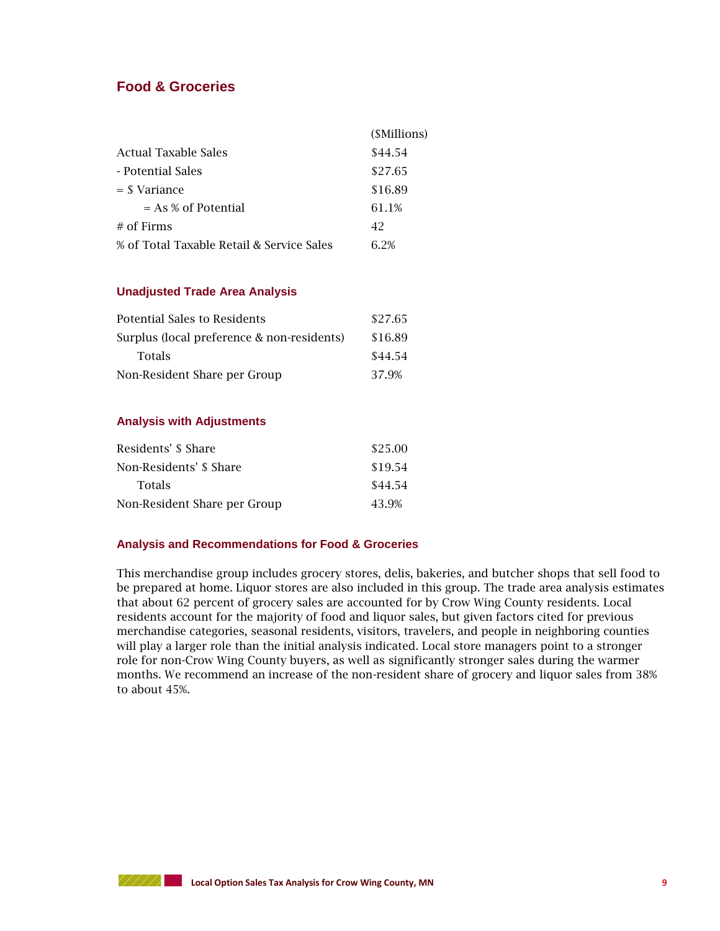## **Food & Groceries**

|                                           | (\$Millions) |
|-------------------------------------------|--------------|
| Actual Taxable Sales                      | \$44.54      |
| - Potential Sales                         | \$27.65      |
| $=$ \$ Variance                           | \$16.89      |
| $= As % of Potential$                     | 61.1%        |
| $#$ of Firms                              | 42           |
| % of Total Taxable Retail & Service Sales | 6.2%         |

#### **Unadjusted Trade Area Analysis**

| Potential Sales to Residents               | \$27.65 |
|--------------------------------------------|---------|
| Surplus (local preference & non-residents) | \$16.89 |
| <b>Totals</b>                              | \$44.54 |
| Non-Resident Share per Group               | 37.9%   |

#### **Analysis with Adjustments**

| Residents' \$ Share          | \$25.00 |
|------------------------------|---------|
| Non-Residents' \$ Share      | \$19.54 |
| <b>Totals</b>                | \$44.54 |
| Non-Resident Share per Group | 43.9%   |

#### **Analysis and Recommendations for Food & Groceries**

This merchandise group includes grocery stores, delis, bakeries, and butcher shops that sell food to be prepared at home. Liquor stores are also included in this group. The trade area analysis estimates that about 62 percent of grocery sales are accounted for by Crow Wing County residents. Local residents account for the majority of food and liquor sales, but given factors cited for previous merchandise categories, seasonal residents, visitors, travelers, and people in neighboring counties will play a larger role than the initial analysis indicated. Local store managers point to a stronger role for non-Crow Wing County buyers, as well as significantly stronger sales during the warmer months. We recommend an increase of the non-resident share of grocery and liquor sales from 38% to about 45%.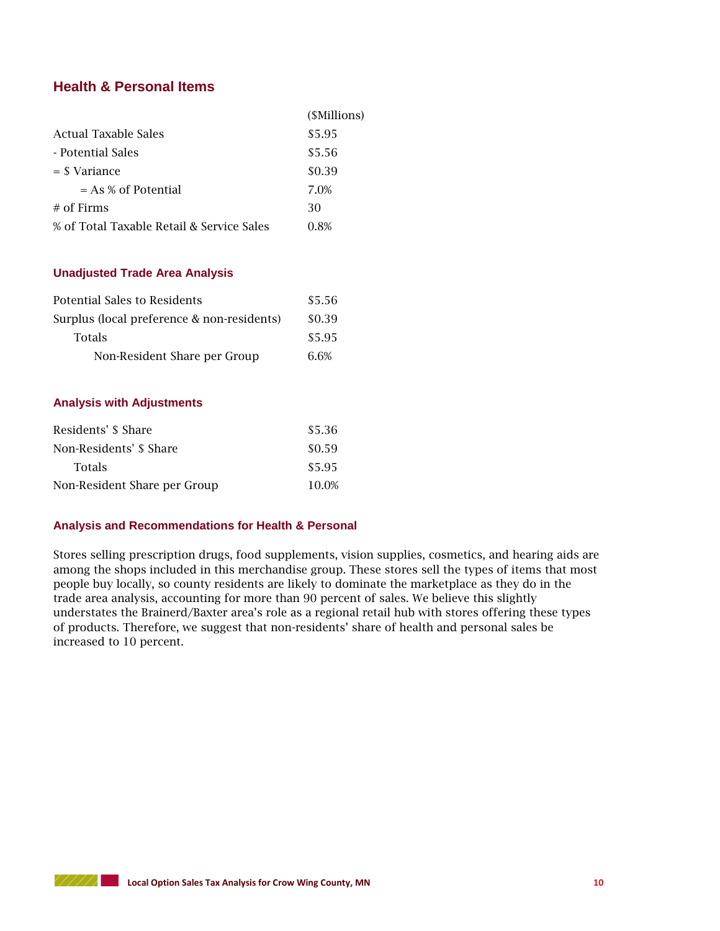## **Health & Personal Items**

|                                           | (\$Millions) |
|-------------------------------------------|--------------|
| Actual Taxable Sales                      | \$5.95       |
| - Potential Sales                         | \$5.56       |
| $=$ \$ Variance                           | \$0.39       |
| $= As % of Potential$                     | 7.0%         |
| $#$ of Firms                              | 30           |
| % of Total Taxable Retail & Service Sales | 0.8%         |

#### **Unadjusted Trade Area Analysis**

| Potential Sales to Residents               | \$5.56 |
|--------------------------------------------|--------|
| Surplus (local preference & non-residents) | \$0.39 |
| <b>Totals</b>                              | \$5.95 |
| Non-Resident Share per Group               | 6.6%   |

#### **Analysis with Adjustments**

| Residents' \$ Share          | \$5.36 |
|------------------------------|--------|
| Non-Residents' \$ Share      | \$0.59 |
| <b>Totals</b>                | \$5.95 |
| Non-Resident Share per Group | 10.0%  |

#### **Analysis and Recommendations for Health & Personal**

Stores selling prescription drugs, food supplements, vision supplies, cosmetics, and hearing aids are among the shops included in this merchandise group. These stores sell the types of items that most people buy locally, so county residents are likely to dominate the marketplace as they do in the trade area analysis, accounting for more than 90 percent of sales. We believe this slightly understates the Brainerd/Baxter area's role as a regional retail hub with stores offering these types of products. Therefore, we suggest that non-residents' share of health and personal sales be increased to 10 percent.

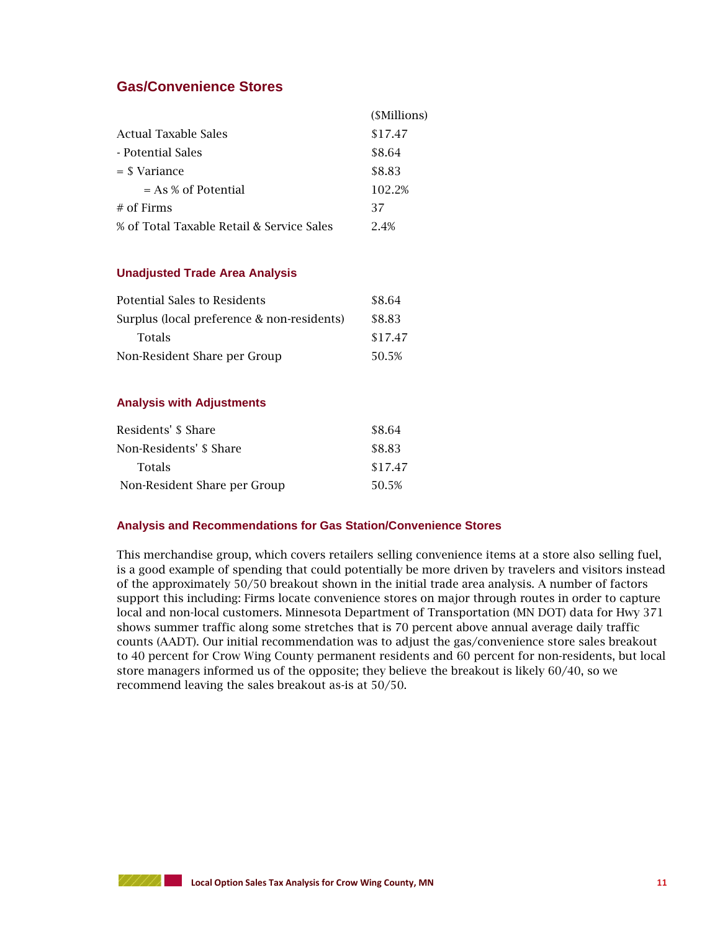## **Gas/Convenience Stores**

|                                           | (\$Millions) |
|-------------------------------------------|--------------|
| Actual Taxable Sales                      | \$17.47      |
| - Potential Sales                         | \$8.64       |
| $=$ \$ Variance                           | \$8.83       |
| $= As % of Potential$                     | 102.2%       |
| $#$ of Firms                              | 37           |
| % of Total Taxable Retail & Service Sales | 24%          |

#### **Unadjusted Trade Area Analysis**

| Potential Sales to Residents               | \$8.64  |
|--------------------------------------------|---------|
| Surplus (local preference & non-residents) | \$8.83  |
| <b>Totals</b>                              | \$17.47 |
| Non-Resident Share per Group               | 50.5%   |

#### **Analysis with Adjustments**

| Residents' \$ Share          | \$8.64  |
|------------------------------|---------|
| Non-Residents' \$ Share      | \$8.83  |
| <b>Totals</b>                | \$17.47 |
| Non-Resident Share per Group | 50.5%   |

#### **Analysis and Recommendations for Gas Station/Convenience Stores**

This merchandise group, which covers retailers selling convenience items at a store also selling fuel, is a good example of spending that could potentially be more driven by travelers and visitors instead of the approximately 50/50 breakout shown in the initial trade area analysis. A number of factors support this including: Firms locate convenience stores on major through routes in order to capture local and non-local customers. Minnesota Department of Transportation (MN DOT) data for Hwy 371 shows summer traffic along some stretches that is 70 percent above annual average daily traffic counts (AADT). Our initial recommendation was to adjust the gas/convenience store sales breakout to 40 percent for Crow Wing County permanent residents and 60 percent for non-residents, but local store managers informed us of the opposite; they believe the breakout is likely 60/40, so we recommend leaving the sales breakout as-is at 50/50.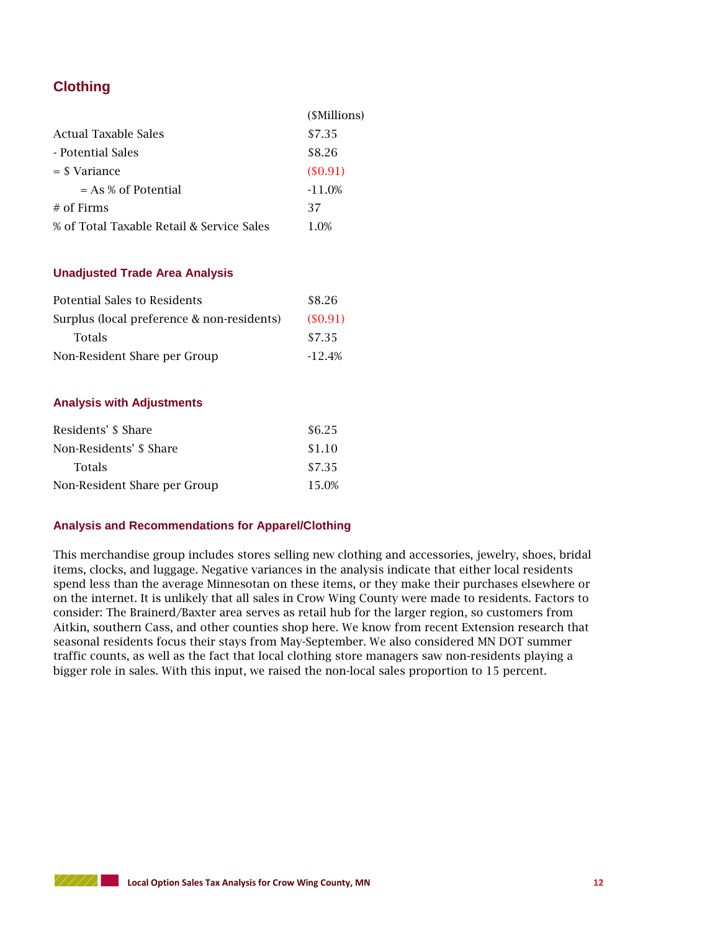## **Clothing**

|                                           | (SMillions) |
|-------------------------------------------|-------------|
| Actual Taxable Sales                      | \$7.35      |
| - Potential Sales                         | \$8.26      |
| $=$ \$ Variance                           | (S0.91)     |
| $= As % of Potential$                     | $-11.0%$    |
| $#$ of Firms                              | 37          |
| % of Total Taxable Retail & Service Sales | 1.0%        |

#### **Unadjusted Trade Area Analysis**

| Potential Sales to Residents               | \$8.26   |
|--------------------------------------------|----------|
| Surplus (local preference & non-residents) | (S0.91)  |
| <b>Totals</b>                              | \$7.35   |
| Non-Resident Share per Group               | $-12.4%$ |

#### **Analysis with Adjustments**

| Residents' \$ Share          | \$6.25 |
|------------------------------|--------|
| Non-Residents' \$ Share      | \$1.10 |
| <b>Totals</b>                | \$7.35 |
| Non-Resident Share per Group | 15.0%  |

#### **Analysis and Recommendations for Apparel/Clothing**

This merchandise group includes stores selling new clothing and accessories, jewelry, shoes, bridal items, clocks, and luggage. Negative variances in the analysis indicate that either local residents spend less than the average Minnesotan on these items, or they make their purchases elsewhere or on the internet. It is unlikely that all sales in Crow Wing County were made to residents. Factors to consider: The Brainerd/Baxter area serves as retail hub for the larger region, so customers from Aitkin, southern Cass, and other counties shop here. We know from recent Extension research that seasonal residents focus their stays from May-September. We also considered MN DOT summer traffic counts, as well as the fact that local clothing store managers saw non-residents playing a bigger role in sales. With this input, we raised the non-local sales proportion to 15 percent.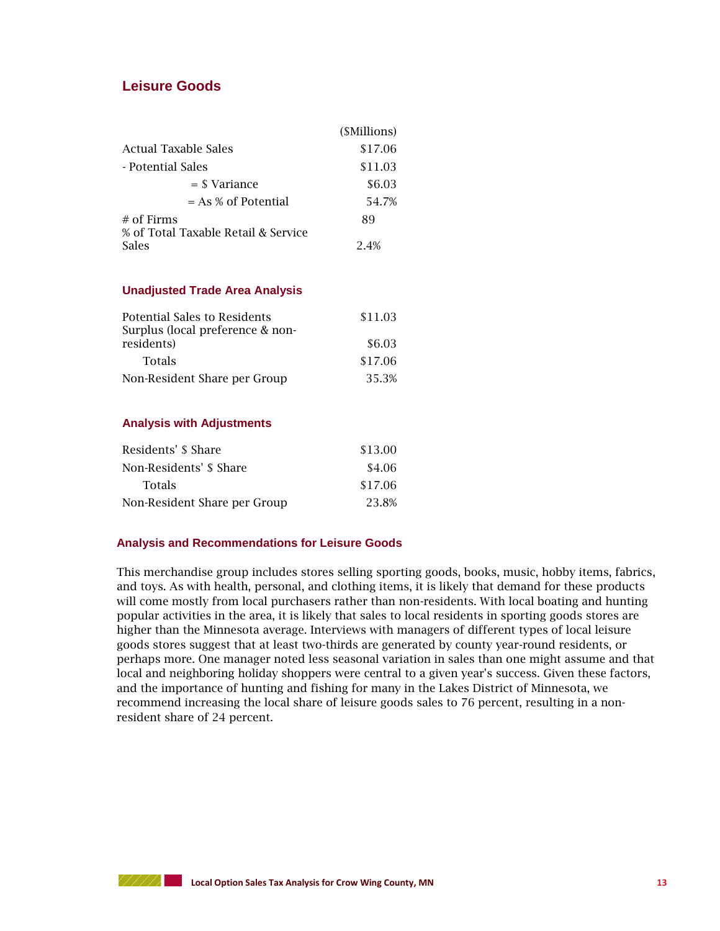### **Leisure Goods**

|                                     | ( <i>SMillions</i> ) |
|-------------------------------------|----------------------|
| Actual Taxable Sales                | \$17.06              |
| - Potential Sales                   | \$11.03              |
| $=$ \$ Variance                     | \$6.03               |
| $= As % of Potential$               | 54.7%                |
| $#$ of Firms                        | 89                   |
| % of Total Taxable Retail & Service |                      |
| <b>Sales</b>                        | 24%                  |

#### **Unadjusted Trade Area Analysis**

| <b>Potential Sales to Residents</b>            | \$11.03 |
|------------------------------------------------|---------|
| Surplus (local preference & non-<br>residents) | \$6.03  |
| <b>Totals</b>                                  | \$17.06 |
| Non-Resident Share per Group                   | 35.3%   |

#### **Analysis with Adjustments**

| Residents' \$ Share          | \$13.00 |
|------------------------------|---------|
| Non-Residents' \$ Share      | \$4.06  |
| <b>Totals</b>                | \$17.06 |
| Non-Resident Share per Group | 23.8%   |

#### **Analysis and Recommendations for Leisure Goods**

This merchandise group includes stores selling sporting goods, books, music, hobby items, fabrics, and toys. As with health, personal, and clothing items, it is likely that demand for these products will come mostly from local purchasers rather than non-residents. With local boating and hunting popular activities in the area, it is likely that sales to local residents in sporting goods stores are higher than the Minnesota average. Interviews with managers of different types of local leisure goods stores suggest that at least two-thirds are generated by county year-round residents, or perhaps more. One manager noted less seasonal variation in sales than one might assume and that local and neighboring holiday shoppers were central to a given year's success. Given these factors, and the importance of hunting and fishing for many in the Lakes District of Minnesota, we recommend increasing the local share of leisure goods sales to 76 percent, resulting in a nonresident share of 24 percent.

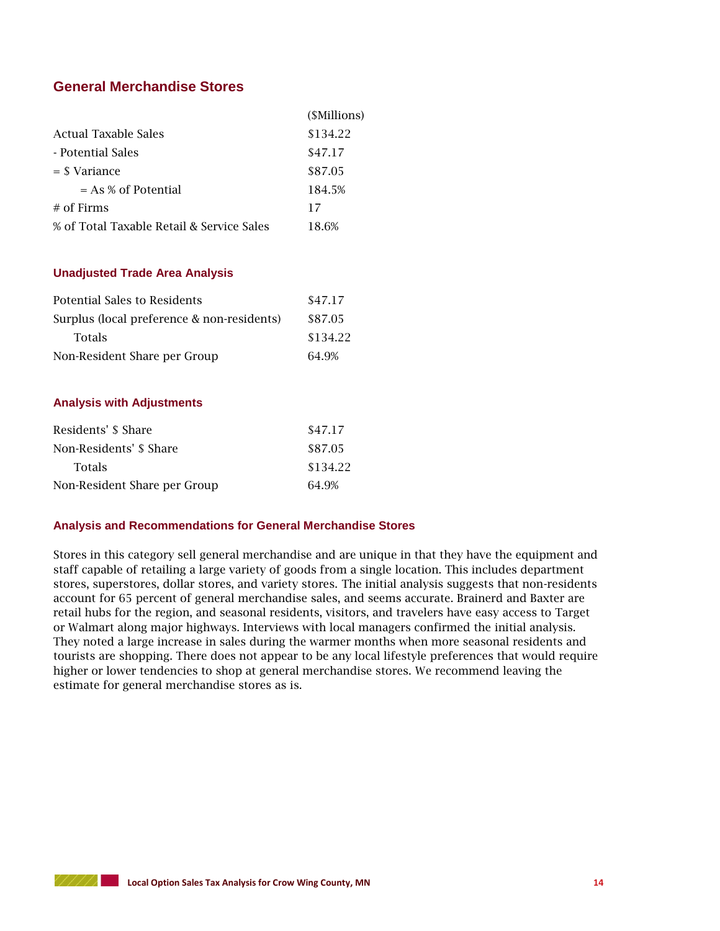## **General Merchandise Stores**

|                                           | ( <i>SMillions</i> ) |
|-------------------------------------------|----------------------|
| Actual Taxable Sales                      | \$134.22             |
| - Potential Sales                         | \$47.17              |
| $=$ \$ Variance                           | \$87.05              |
| $= As % of Potential$                     | 184.5%               |
| $#$ of Firms                              | 17                   |
| % of Total Taxable Retail & Service Sales | 18.6%                |

#### **Unadjusted Trade Area Analysis**

| Potential Sales to Residents               | \$47.17  |
|--------------------------------------------|----------|
| Surplus (local preference & non-residents) | \$87.05  |
| <b>Totals</b>                              | \$134.22 |
| Non-Resident Share per Group               | 64.9%    |

#### **Analysis with Adjustments**

| Residents' \$ Share          | \$47.17  |
|------------------------------|----------|
| Non-Residents' \$ Share      | \$87.05  |
| <b>Totals</b>                | \$134.22 |
| Non-Resident Share per Group | 64.9%    |

#### **Analysis and Recommendations for General Merchandise Stores**

Stores in this category sell general merchandise and are unique in that they have the equipment and staff capable of retailing a large variety of goods from a single location. This includes department stores, superstores, dollar stores, and variety stores. The initial analysis suggests that non-residents account for 65 percent of general merchandise sales, and seems accurate. Brainerd and Baxter are retail hubs for the region, and seasonal residents, visitors, and travelers have easy access to Target or Walmart along major highways. Interviews with local managers confirmed the initial analysis. They noted a large increase in sales during the warmer months when more seasonal residents and tourists are shopping. There does not appear to be any local lifestyle preferences that would require higher or lower tendencies to shop at general merchandise stores. We recommend leaving the estimate for general merchandise stores as is.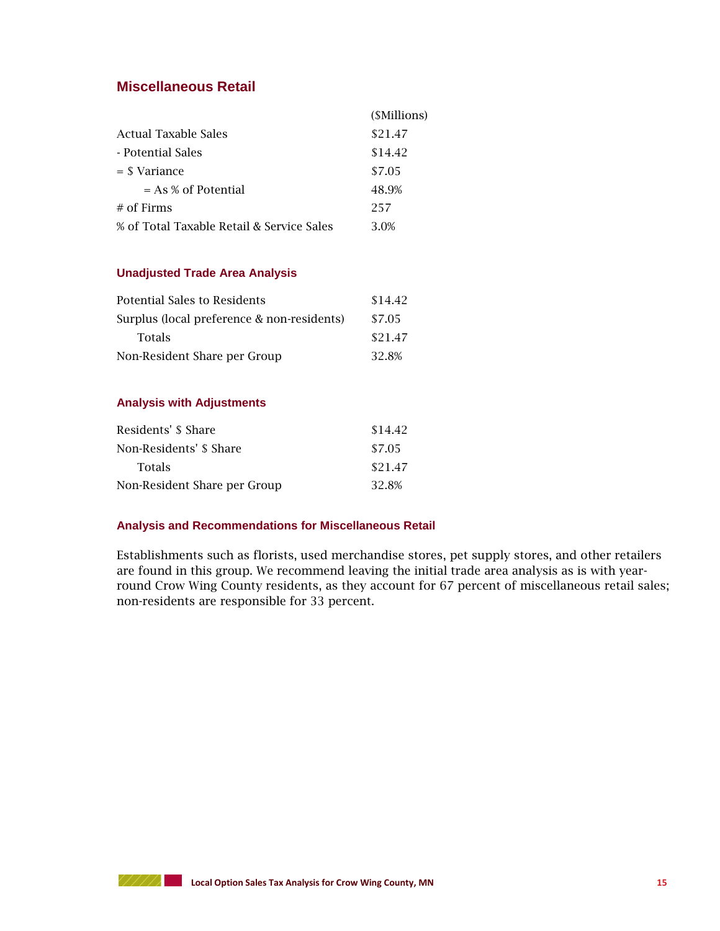## **Miscellaneous Retail**

|                                           | ( <i>SMillions</i> ) |
|-------------------------------------------|----------------------|
| Actual Taxable Sales                      | \$21.47              |
| - Potential Sales                         | \$14.42              |
| $=$ \$ Variance                           | \$7.05               |
| $= As % of Potential$                     | 48.9%                |
| $#$ of Firms                              | 257                  |
| % of Total Taxable Retail & Service Sales | 3.0%                 |

#### **Unadjusted Trade Area Analysis**

| Potential Sales to Residents               | \$14.42 |
|--------------------------------------------|---------|
| Surplus (local preference & non-residents) | \$7.05  |
| <b>Totals</b>                              | \$21.47 |
| Non-Resident Share per Group               | 32.8%   |

#### **Analysis with Adjustments**

| Residents' \$ Share          | \$14.42 |
|------------------------------|---------|
| Non-Residents' \$ Share      | \$7.05  |
| <b>Totals</b>                | \$21.47 |
| Non-Resident Share per Group | 32.8%   |

#### **Analysis and Recommendations for Miscellaneous Retail**

Establishments such as florists, used merchandise stores, pet supply stores, and other retailers are found in this group. We recommend leaving the initial trade area analysis as is with yearround Crow Wing County residents, as they account for 67 percent of miscellaneous retail sales; non-residents are responsible for 33 percent.

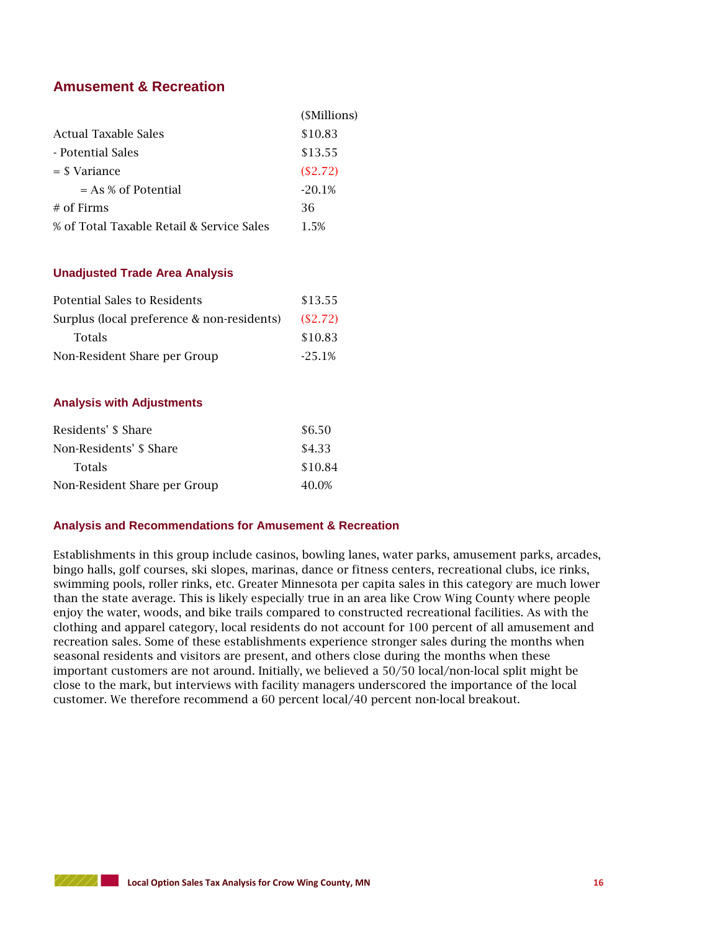## **Amusement & Recreation**

|                                           | ( <i>SMillions</i> ) |
|-------------------------------------------|----------------------|
| Actual Taxable Sales                      | \$10.83              |
| - Potential Sales                         | \$13.55              |
| $=$ \$ Variance                           | (S2.72)              |
| $= As % of Potential$                     | $-20.1%$             |
| $#$ of Firms                              | 36                   |
| % of Total Taxable Retail & Service Sales | 1.5%                 |

#### **Unadjusted Trade Area Analysis**

| Potential Sales to Residents               | \$13.55  |
|--------------------------------------------|----------|
| Surplus (local preference & non-residents) | (S2.72)  |
| <b>Totals</b>                              | \$10.83  |
| Non-Resident Share per Group               | $-25.1%$ |

#### **Analysis with Adjustments**

| Residents' \$ Share          | \$6.50  |
|------------------------------|---------|
| Non-Residents' \$ Share      | \$4.33  |
| <b>Totals</b>                | \$10.84 |
| Non-Resident Share per Group | 40.0%   |

#### **Analysis and Recommendations for Amusement & Recreation**

Establishments in this group include casinos, bowling lanes, water parks, amusement parks, arcades, bingo halls, golf courses, ski slopes, marinas, dance or fitness centers, recreational clubs, ice rinks, swimming pools, roller rinks, etc. Greater Minnesota per capita sales in this category are much lower than the state average. This is likely especially true in an area like Crow Wing County where people enjoy the water, woods, and bike trails compared to constructed recreational facilities. As with the clothing and apparel category, local residents do not account for 100 percent of all amusement and recreation sales. Some of these establishments experience stronger sales during the months when seasonal residents and visitors are present, and others close during the months when these important customers are not around. Initially, we believed a 50/50 local/non-local split might be close to the mark, but interviews with facility managers underscored the importance of the local customer. We therefore recommend a 60 percent local/40 percent non-local breakout.

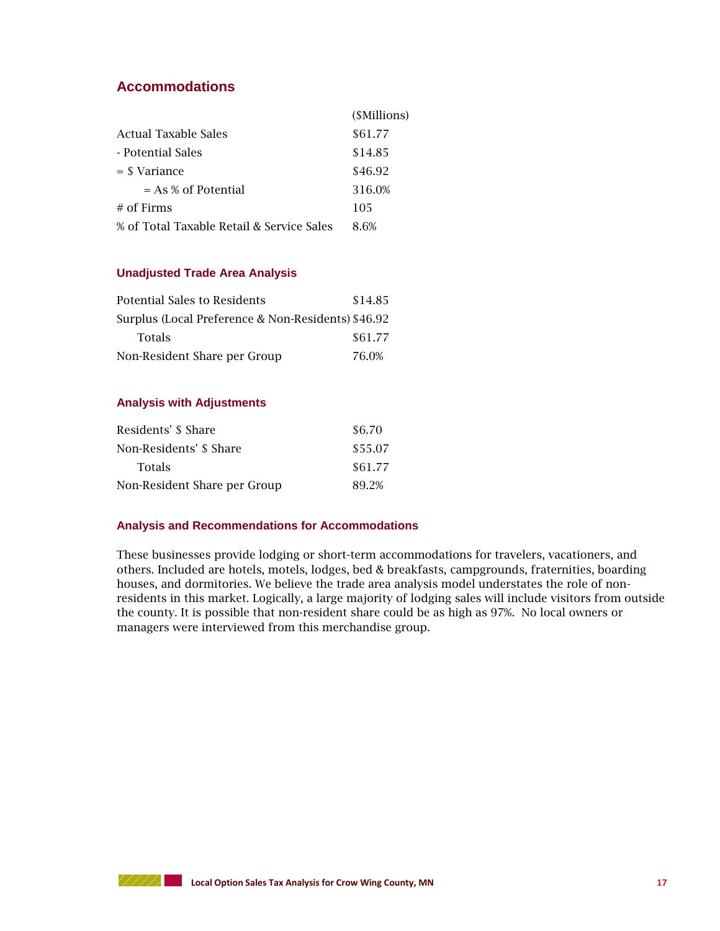## **Accommodations**

|                                           | ( <i>SMillions</i> ) |
|-------------------------------------------|----------------------|
| Actual Taxable Sales                      | \$61.77              |
| - Potential Sales                         | \$14.85              |
| $=$ \$ Variance                           | \$46.92              |
| $= As % of Potential$                     | 316.0%               |
| $#$ of Firms                              | 105                  |
| % of Total Taxable Retail & Service Sales | 8 6%                 |

#### **Unadjusted Trade Area Analysis**

| Potential Sales to Residents                       | \$14.85 |
|----------------------------------------------------|---------|
| Surplus (Local Preference & Non-Residents) \$46.92 |         |
| <b>Totals</b>                                      | \$61.77 |
| Non-Resident Share per Group                       | 76.0%   |

#### **Analysis with Adjustments**

| Residents' \$ Share          | \$6.70  |
|------------------------------|---------|
| Non-Residents' \$ Share      | \$55.07 |
| <b>Totals</b>                | \$61.77 |
| Non-Resident Share per Group | 89.2%   |

#### **Analysis and Recommendations for Accommodations**

These businesses provide lodging or short-term accommodations for travelers, vacationers, and others. Included are hotels, motels, lodges, bed & breakfasts, campgrounds, fraternities, boarding houses, and dormitories. We believe the trade area analysis model understates the role of nonresidents in this market. Logically, a large majority of lodging sales will include visitors from outside the county. It is possible that non-resident share could be as high as 97%. No local owners or managers were interviewed from this merchandise group.

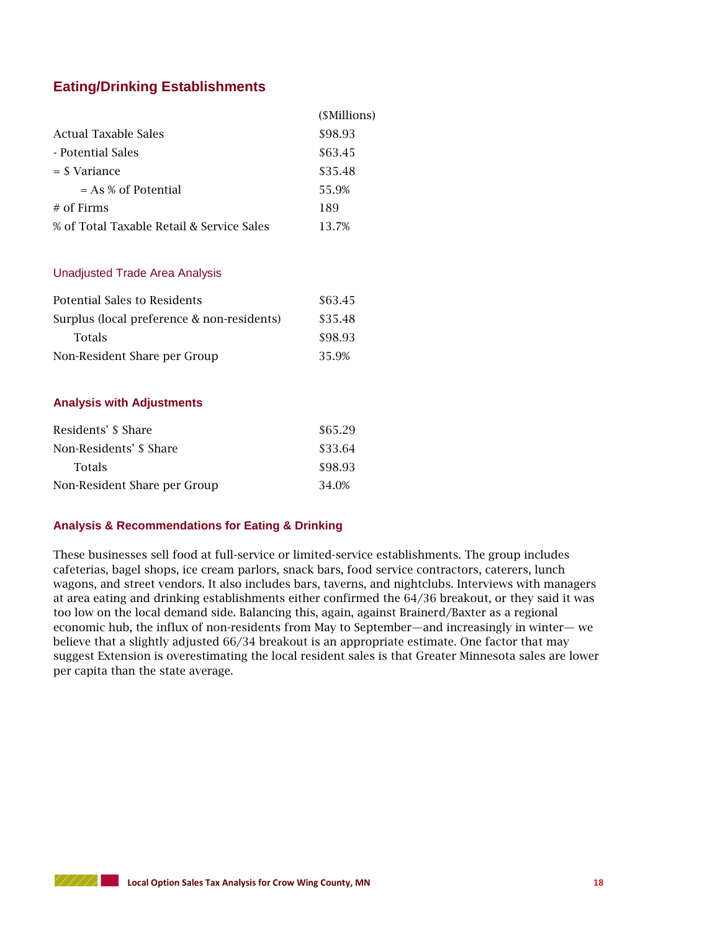## **Eating/Drinking Establishments**

|                                           | ( <i>SMillions</i> ) |
|-------------------------------------------|----------------------|
| Actual Taxable Sales                      | \$98.93              |
| - Potential Sales                         | \$63.45              |
| $=$ \$ Variance                           | \$35.48              |
| $= As % of Potential$                     | 55.9%                |
| $#$ of Firms                              | 189                  |
| % of Total Taxable Retail & Service Sales | 13.7%                |

#### Unadjusted Trade Area Analysis

| Potential Sales to Residents               | \$63.45 |
|--------------------------------------------|---------|
| Surplus (local preference & non-residents) | \$35.48 |
| <b>Totals</b>                              | \$98.93 |
| Non-Resident Share per Group               | 35.9%   |

#### **Analysis with Adjustments**

| Residents' \$ Share          | \$65.29 |
|------------------------------|---------|
| Non-Residents' \$ Share      | \$33.64 |
| <b>Totals</b>                | \$98.93 |
| Non-Resident Share per Group | 34.0%   |

#### **Analysis & Recommendations for Eating & Drinking**

These businesses sell food at full-service or limited-service establishments. The group includes cafeterias, bagel shops, ice cream parlors, snack bars, food service contractors, caterers, lunch wagons, and street vendors. It also includes bars, taverns, and nightclubs. Interviews with managers at area eating and drinking establishments either confirmed the 64/36 breakout, or they said it was too low on the local demand side. Balancing this, again, against Brainerd/Baxter as a regional economic hub, the influx of non-residents from May to September—and increasingly in winter— we believe that a slightly adjusted 66/34 breakout is an appropriate estimate. One factor that may suggest Extension is overestimating the local resident sales is that Greater Minnesota sales are lower per capita than the state average.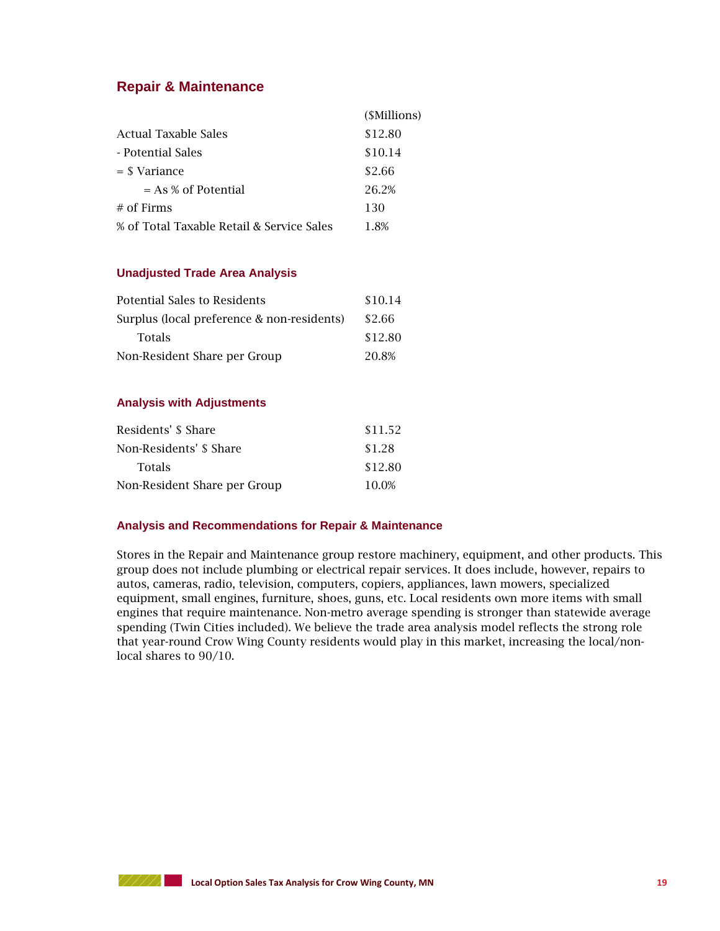## **Repair & Maintenance**

|                                           | (\$Millions) |
|-------------------------------------------|--------------|
| Actual Taxable Sales                      | \$12.80      |
| - Potential Sales                         | \$10.14      |
| $=$ \$ Variance                           | \$2.66       |
| $= As % of Potential$                     | 26.2%        |
| $#$ of Firms                              | 130          |
| % of Total Taxable Retail & Service Sales | 1.8%         |

#### **Unadjusted Trade Area Analysis**

| Potential Sales to Residents               | \$10.14 |
|--------------------------------------------|---------|
| Surplus (local preference & non-residents) | \$2.66  |
| <b>Totals</b>                              | \$12.80 |
| Non-Resident Share per Group               | 20.8%   |

#### **Analysis with Adjustments**

| Residents' \$ Share          | \$11.52 |
|------------------------------|---------|
| Non-Residents' \$ Share      | \$1.28  |
| <b>Totals</b>                | \$12.80 |
| Non-Resident Share per Group | 10.0%   |

#### **Analysis and Recommendations for Repair & Maintenance**

Stores in the Repair and Maintenance group restore machinery, equipment, and other products. This group does not include plumbing or electrical repair services. It does include, however, repairs to autos, cameras, radio, television, computers, copiers, appliances, lawn mowers, specialized equipment, small engines, furniture, shoes, guns, etc. Local residents own more items with small engines that require maintenance. Non-metro average spending is stronger than statewide average spending (Twin Cities included). We believe the trade area analysis model reflects the strong role that year-round Crow Wing County residents would play in this market, increasing the local/nonlocal shares to 90/10.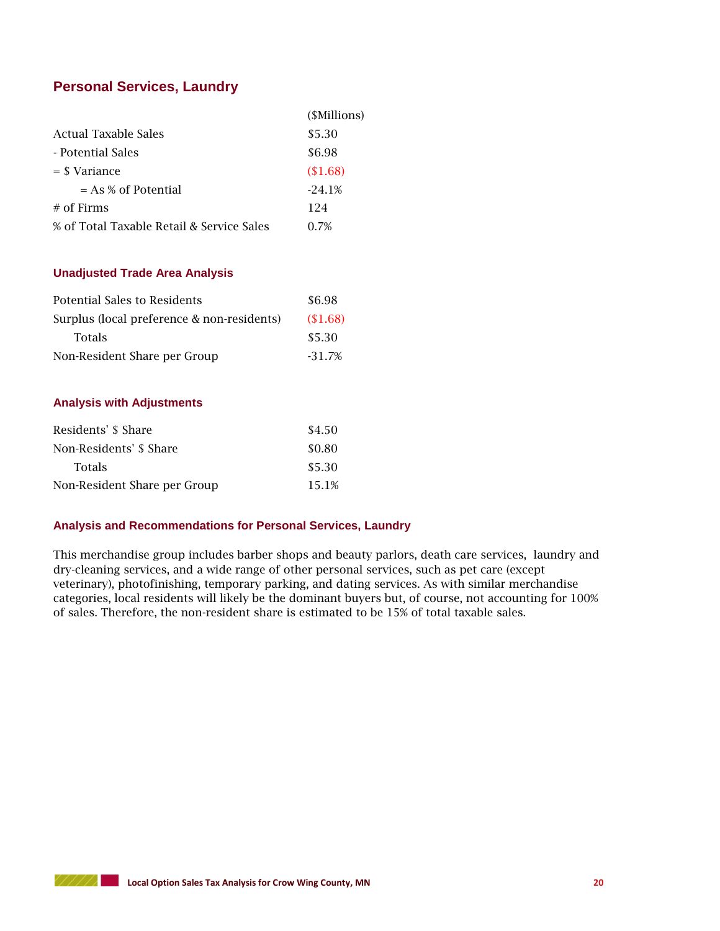## **Personal Services, Laundry**

|                                           | ( <i>SMillions</i> ) |
|-------------------------------------------|----------------------|
| Actual Taxable Sales                      | \$5.30               |
| - Potential Sales                         | \$6.98               |
| $=$ \$ Variance                           | \$1.68               |
| $= As % of Potential$                     | $-24.1%$             |
| $#$ of Firms                              | 124                  |
| % of Total Taxable Retail & Service Sales | 0.7%                 |

#### **Unadjusted Trade Area Analysis**

| Potential Sales to Residents               | \$6.98   |
|--------------------------------------------|----------|
| Surplus (local preference & non-residents) | (\$1.68) |
| <b>Totals</b>                              | \$5.30   |
| Non-Resident Share per Group               | $-31.7%$ |

#### **Analysis with Adjustments**

| Residents' \$ Share          | \$4.50 |
|------------------------------|--------|
| Non-Residents' \$ Share      | \$0.80 |
| <b>Totals</b>                | \$5.30 |
| Non-Resident Share per Group | 15.1%  |

#### **Analysis and Recommendations for Personal Services, Laundry**

This merchandise group includes barber shops and beauty parlors, death care services, laundry and dry-cleaning services, and a wide range of other personal services, such as pet care (except veterinary), photofinishing, temporary parking, and dating services. As with similar merchandise categories, local residents will likely be the dominant buyers but, of course, not accounting for 100% of sales. Therefore, the non-resident share is estimated to be 15% of total taxable sales.

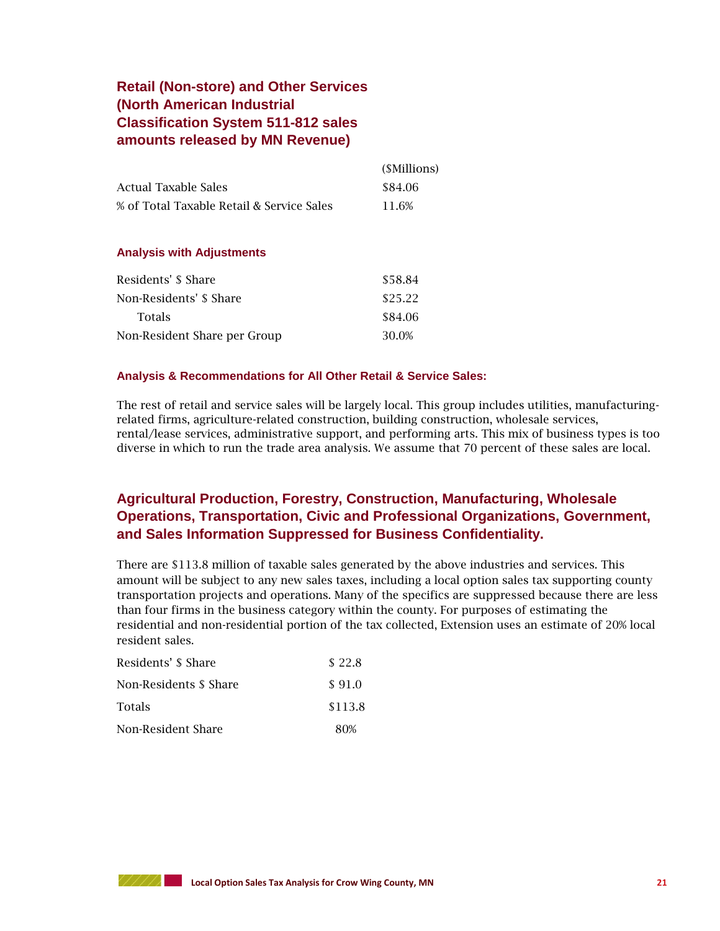## **Retail (Non-store) and Other Services (North American Industrial Classification System 511-812 sales amounts released by MN Revenue)**

|                                           | (SMillions) |
|-------------------------------------------|-------------|
| Actual Taxable Sales                      | \$84.06     |
| % of Total Taxable Retail & Service Sales | 11.6%       |

#### **Analysis with Adjustments**

| Residents' \$ Share          | \$58.84 |
|------------------------------|---------|
| Non-Residents' \$ Share      | \$25.22 |
| <b>Totals</b>                | \$84.06 |
| Non-Resident Share per Group | 30.0%   |

#### **Analysis & Recommendations for All Other Retail & Service Sales:**

The rest of retail and service sales will be largely local. This group includes utilities, manufacturingrelated firms, agriculture-related construction, building construction, wholesale services, rental/lease services, administrative support, and performing arts. This mix of business types is too diverse in which to run the trade area analysis. We assume that 70 percent of these sales are local.

## **Agricultural Production, Forestry, Construction, Manufacturing, Wholesale Operations, Transportation, Civic and Professional Organizations, Government, and Sales Information Suppressed for Business Confidentiality.**

There are \$113.8 million of taxable sales generated by the above industries and services. This amount will be subject to any new sales taxes, including a local option sales tax supporting county transportation projects and operations. Many of the specifics are suppressed because there are less than four firms in the business category within the county. For purposes of estimating the residential and non-residential portion of the tax collected, Extension uses an estimate of 20% local resident sales.

| Residents' \$ Share    | \$22.8  |
|------------------------|---------|
| Non-Residents \$ Share | \$91.0  |
| <b>Totals</b>          | \$113.8 |
| Non-Resident Share     | 80%     |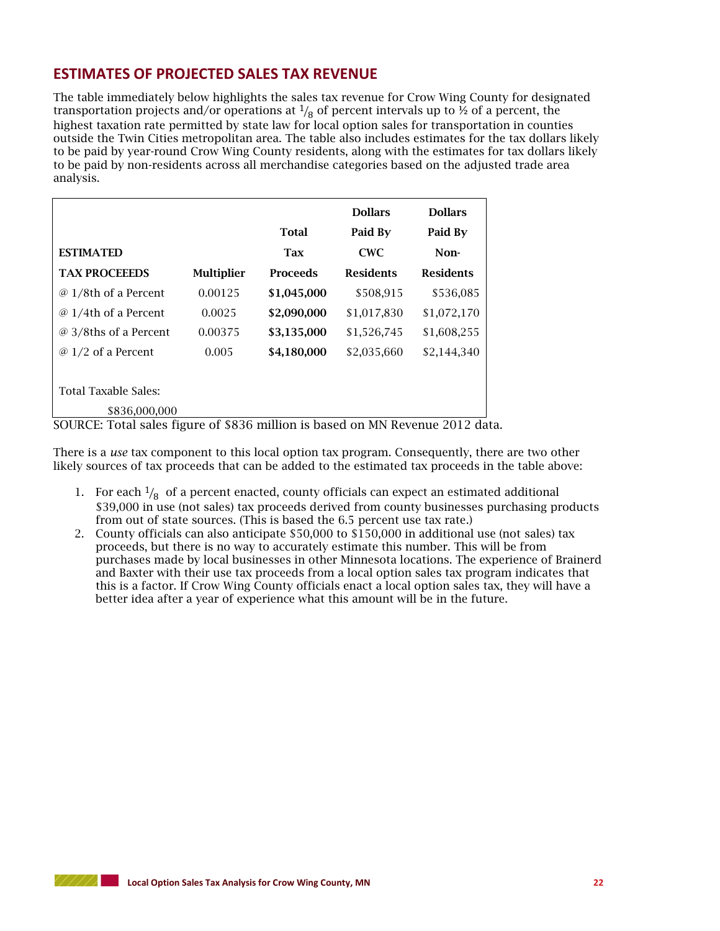## **ESTIMATES OF PROJECTED SALES TAX REVENUE**

The table immediately below highlights the sales tax revenue for Crow Wing County for designated transportation projects and/or operations at  $\frac{1}{8}$  of percent intervals up to  $\frac{1}{2}$  of a percent, the highest taxation rate permitted by state law for local option sales for transportation in counties outside the Twin Cities metropolitan area. The table also includes estimates for the tax dollars likely to be paid by year-round Crow Wing County residents, along with the estimates for tax dollars likely to be paid by non-residents across all merchandise categories based on the adjusted trade area analysis.

|                                                                               |                   | <b>Total</b> | <b>Dollars</b><br>Paid By | <b>Dollars</b><br>Paid By |  |  |  |
|-------------------------------------------------------------------------------|-------------------|--------------|---------------------------|---------------------------|--|--|--|
| <b>ESTIMATED</b>                                                              |                   | <b>Tax</b>   | <b>CWC</b>                | Non-                      |  |  |  |
| <b>TAX PROCEEEDS</b>                                                          | <b>Multiplier</b> | Proceeds     | <b>Residents</b>          | <b>Residents</b>          |  |  |  |
| @ 1/8th of a Percent                                                          | 0.00125           | \$1,045,000  | \$508,915                 | \$536,085                 |  |  |  |
| @ 1/4th of a Percent                                                          | 0.0025            | \$2,090,000  | \$1,017,830               | \$1,072,170               |  |  |  |
| @ 3/8ths of a Percent                                                         | 0.00375           | \$3,135,000  | \$1,526,745               | \$1,608,255               |  |  |  |
| $\varnothing$ 1/2 of a Percent                                                | 0.005             | \$4,180,000  | \$2,035,660               | \$2,144,340               |  |  |  |
| <b>Total Taxable Sales:</b>                                                   |                   |              |                           |                           |  |  |  |
| \$836,000,000                                                                 |                   |              |                           |                           |  |  |  |
| SOURCE: Total sales figure of \$836 million is based on MN Revenue 2012 data. |                   |              |                           |                           |  |  |  |

There is a *use* tax component to this local option tax program. Consequently, there are two other likely sources of tax proceeds that can be added to the estimated tax proceeds in the table above:

- 1. For each  $\frac{1}{8}$  of a percent enacted, county officials can expect an estimated additional \$39,000 in use (not sales) tax proceeds derived from county businesses purchasing products from out of state sources. (This is based the 6.5 percent use tax rate.)
- 2. County officials can also anticipate \$50,000 to \$150,000 in additional use (not sales) tax proceeds, but there is no way to accurately estimate this number. This will be from purchases made by local businesses in other Minnesota locations. The experience of Brainerd and Baxter with their use tax proceeds from a local option sales tax program indicates that this is a factor. If Crow Wing County officials enact a local option sales tax, they will have a better idea after a year of experience what this amount will be in the future.

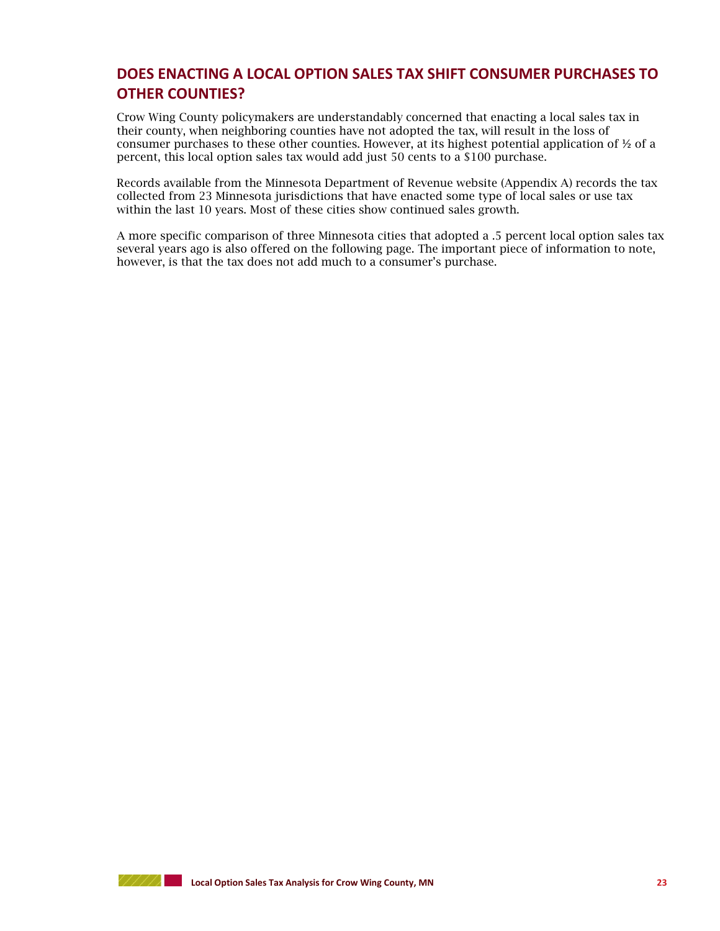## **DOES ENACTING A LOCAL OPTION SALES TAX SHIFT CONSUMER PURCHASES TO OTHER COUNTIES?**

Crow Wing County policymakers are understandably concerned that enacting a local sales tax in their county, when neighboring counties have not adopted the tax, will result in the loss of consumer purchases to these other counties. However, at its highest potential application of ½ of a percent, this local option sales tax would add just 50 cents to a \$100 purchase.

Records available from the Minnesota Department of Revenue website (Appendix A) records the tax collected from 23 Minnesota jurisdictions that have enacted some type of local sales or use tax within the last 10 years. Most of these cities show continued sales growth.

A more specific comparison of three Minnesota cities that adopted a .5 percent local option sales tax several years ago is also offered on the following page. The important piece of information to note, however, is that the tax does not add much to a consumer's purchase.

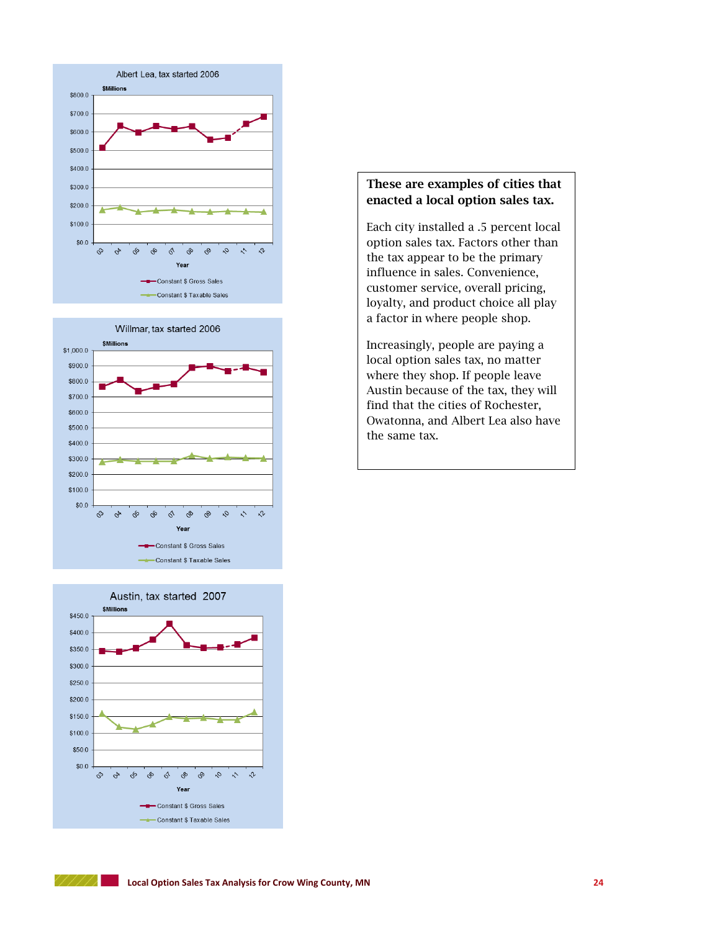





## **These are examples of cities that enacted a local option sales tax.**

Each city installed a .5 percent local option sales tax. Factors other than the tax appear to be the primary influence in sales. Convenience, customer service, overall pricing, loyalty, and product choice all play a factor in where people shop.

Increasingly, people are paying a local option sales tax, no matter where they shop. If people leave Austin because of the tax, they will find that the cities of Rochester, Owatonna, and Albert Lea also have the same tax.

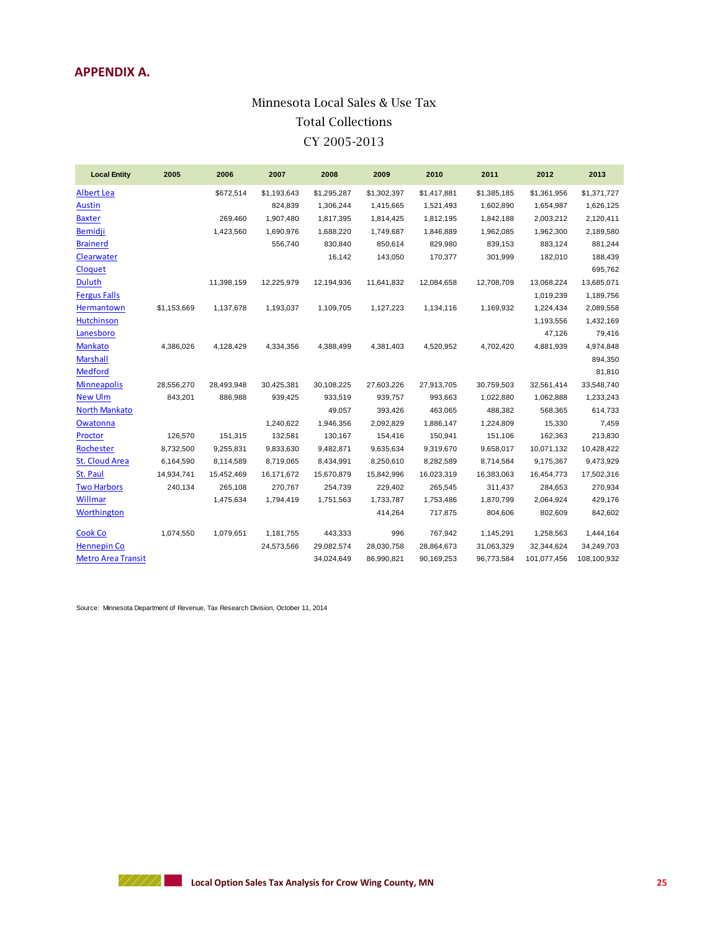## **APPENDIX A.**

## **Minnesota Local Sales & Use Tax** Minnesota Local Sales & Use Tax **Total Collections** Total Collections **CY 2004-2013** CY 2005-2013

| <b>Local Entity</b>       | 2005        | 2006       | 2007        | 2008        | 2009        | 2010        | 2011        | 2012        | 2013        |
|---------------------------|-------------|------------|-------------|-------------|-------------|-------------|-------------|-------------|-------------|
| <b>Albert Lea</b>         |             | \$672,514  | \$1,193,643 | \$1,295,287 | \$1,302,397 | \$1,417,881 | \$1,385,185 | \$1,361,956 | \$1,371,727 |
| <b>Austin</b>             |             |            | 824,839     | 1,306,244   | 1,415,665   | 1,521,493   | 1,602,890   | 1,654,987   | 1,626,125   |
| <b>Baxter</b>             |             | 269,460    | 1,907,480   | 1,817,395   | 1,814,425   | 1,812,195   | 1,842,188   | 2,003,212   | 2,120,411   |
| <b>Bemidji</b>            |             | 1,423,560  | 1,690,976   | 1,688,220   | 1,749,687   | 1,846,889   | 1,962,085   | 1,962,300   | 2,189,580   |
| <b>Brainerd</b>           |             |            | 556,740     | 830,840     | 850,614     | 829,980     | 839,153     | 883,124     | 881,244     |
| Clearwater                |             |            |             | 16,142      | 143,050     | 170,377     | 301,999     | 182,010     | 188,439     |
| Cloquet                   |             |            |             |             |             |             |             |             | 695,762     |
| <b>Duluth</b>             |             | 11,398,159 | 12,225,979  | 12,194,936  | 11,641,832  | 12,084,658  | 12,708,709  | 13.068.224  | 13,685,071  |
| <b>Fergus Falls</b>       |             |            |             |             |             |             |             | 1,019,239   | 1,189,756   |
| Hermantown                | \$1,153,669 | 1,137,678  | 1,193,037   | 1,109,705   | 1,127,223   | 1,134,116   | 1,169,932   | 1,224,434   | 2,089,558   |
| <b>Hutchinson</b>         |             |            |             |             |             |             |             | 1,193,556   | 1,432,169   |
| Lanesboro                 |             |            |             |             |             |             |             | 47,126      | 79,416      |
| <b>Mankato</b>            | 4,386,026   | 4,128,429  | 4,334,356   | 4,388,499   | 4,381,403   | 4,520,952   | 4,702,420   | 4,881,939   | 4,974,848   |
| <b>Marshall</b>           |             |            |             |             |             |             |             |             | 894,350     |
| <b>Medford</b>            |             |            |             |             |             |             |             |             | 81,810      |
| <b>Minneapolis</b>        | 28,556,270  | 28,493,948 | 30,425,381  | 30,108,225  | 27,603,226  | 27,913,705  | 30,759,503  | 32,561,414  | 33,548,740  |
| <b>New Ulm</b>            | 843,201     | 886,988    | 939,425     | 933,519     | 939,757     | 993,663     | 1,022,880   | 1,062,888   | 1,233,243   |
| <b>North Mankato</b>      |             |            |             | 49,057      | 393,426     | 463,065     | 488,382     | 568,365     | 614,733     |
| <b>Owatonna</b>           |             |            | 1,240,622   | 1,946,356   | 2,092,829   | 1,886,147   | 1,224,809   | 15,330      | 7,459       |
| Proctor                   | 126,570     | 151,315    | 132,581     | 130,167     | 154,416     | 150,941     | 151,106     | 162,363     | 213,830     |
| Rochester                 | 8,732,500   | 9,255,831  | 9,833,630   | 9,482,871   | 9,635,634   | 9,319,670   | 9,658,017   | 10,071,132  | 10,428,422  |
| <b>St. Cloud Area</b>     | 6,164,590   | 8,114,589  | 8,719,065   | 8,434,991   | 8,250,610   | 8,282,589   | 8,714,584   | 9,175,367   | 9,473,929   |
| St. Paul                  | 14,934,741  | 15,452,469 | 16,171,672  | 15,670,879  | 15,842,996  | 16,023,319  | 16,383,063  | 16,454,773  | 17,502,316  |
| <b>Two Harbors</b>        | 240,134     | 265,108    | 270,767     | 254,739     | 229,402     | 265,545     | 311,437     | 284,653     | 270,934     |
| <b>Willmar</b>            |             | 1,475,634  | 1,794,419   | 1,751,563   | 1,733,787   | 1,753,486   | 1,870,799   | 2,064,924   | 429,176     |
| Worthington               |             |            |             |             | 414,264     | 717,875     | 804,606     | 802,609     | 842,602     |
| <b>Cook Co</b>            | 1,074,550   | 1,079,651  | 1,181,755   | 443,333     | 996         | 767,942     | 1,145,291   | 1,258,563   | 1,444,164   |
| <b>Hennepin Co</b>        |             |            | 24,573,566  | 29,082,574  | 28,030,758  | 28,864,673  | 31,063,329  | 32,344,624  | 34,249,703  |
| <b>Metro Area Transit</b> |             |            |             | 34,024,649  | 86,990,821  | 90,169,253  | 96,773,584  | 101,077,456 | 108,100,932 |

Source: Minnesota Department of Revenue, Tax Research Division, October 11, 2014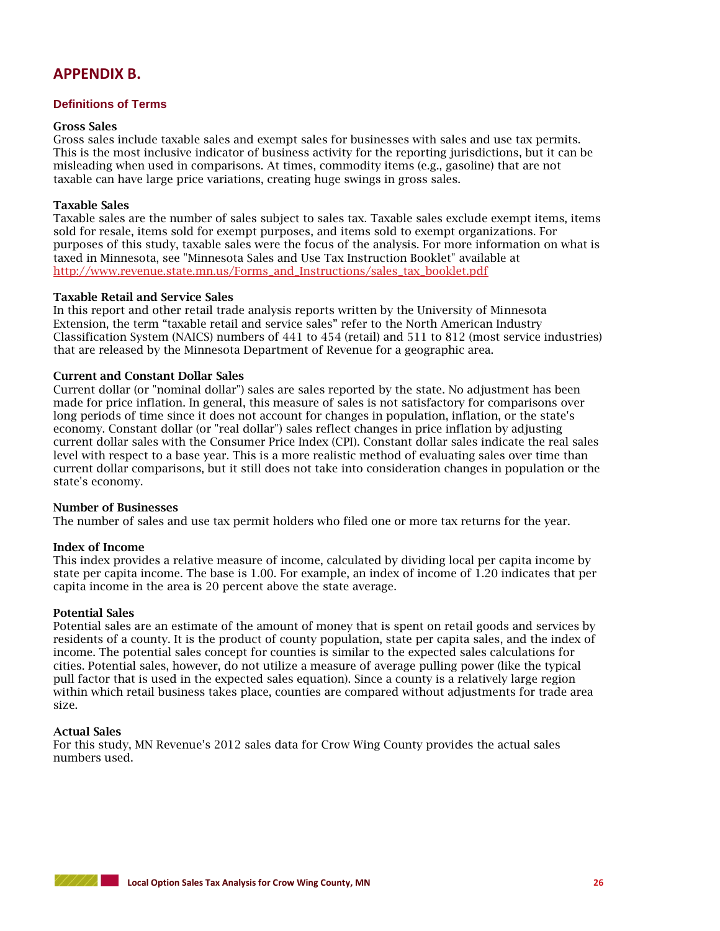## **APPENDIX B.**

#### **Definitions of Terms**

#### **Gross Sales**

Gross sales include taxable sales and exempt sales for businesses with sales and use tax permits. This is the most inclusive indicator of business activity for the reporting jurisdictions, but it can be misleading when used in comparisons. At times, commodity items (e.g., gasoline) that are not taxable can have large price variations, creating huge swings in gross sales.

#### **Taxable Sales**

Taxable sales are the number of sales subject to sales tax. Taxable sales exclude exempt items, items sold for resale, items sold for exempt purposes, and items sold to exempt organizations. For purposes of this study, taxable sales were the focus of the analysis. For more information on what is taxed in Minnesota, see "Minnesota Sales and Use Tax Instruction Booklet" available at [http://www.revenue.state.mn.us/Forms\\_and\\_Instructions/sales\\_tax\\_booklet.pdf](http://www.revenue.state.mn.us/Forms_and_Instructions/sales_tax_booklet.pdf)

#### **Taxable Retail and Service Sales**

In this report and other retail trade analysis reports written by the University of Minnesota Extension, the term "taxable retail and service sales" refer to the North American Industry Classification System (NAICS) numbers of 441 to 454 (retail) and 511 to 812 (most service industries) that are released by the Minnesota Department of Revenue for a geographic area.

#### **Current and Constant Dollar Sales**

Current dollar (or "nominal dollar") sales are sales reported by the state. No adjustment has been made for price inflation. In general, this measure of sales is not satisfactory for comparisons over long periods of time since it does not account for changes in population, inflation, or the state's economy. Constant dollar (or "real dollar") sales reflect changes in price inflation by adjusting current dollar sales with the Consumer Price Index (CPI). Constant dollar sales indicate the real sales level with respect to a base year. This is a more realistic method of evaluating sales over time than current dollar comparisons, but it still does not take into consideration changes in population or the state's economy.

#### **Number of Businesses**

The number of sales and use tax permit holders who filed one or more tax returns for the year.

#### **Index of Income**

This index provides a relative measure of income, calculated by dividing local per capita income by state per capita income. The base is 1.00. For example, an index of income of 1.20 indicates that per capita income in the area is 20 percent above the state average.

#### **Potential Sales**

Potential sales are an estimate of the amount of money that is spent on retail goods and services by residents of a county. It is the product of county population, state per capita sales, and the index of income. The potential sales concept for counties is similar to the expected sales calculations for cities. Potential sales, however, do not utilize a measure of average pulling power (like the typical pull factor that is used in the expected sales equation). Since a county is a relatively large region within which retail business takes place, counties are compared without adjustments for trade area size.

#### **Actual Sales**

For this study, MN Revenue's 2012 sales data for Crow Wing County provides the actual sales numbers used.

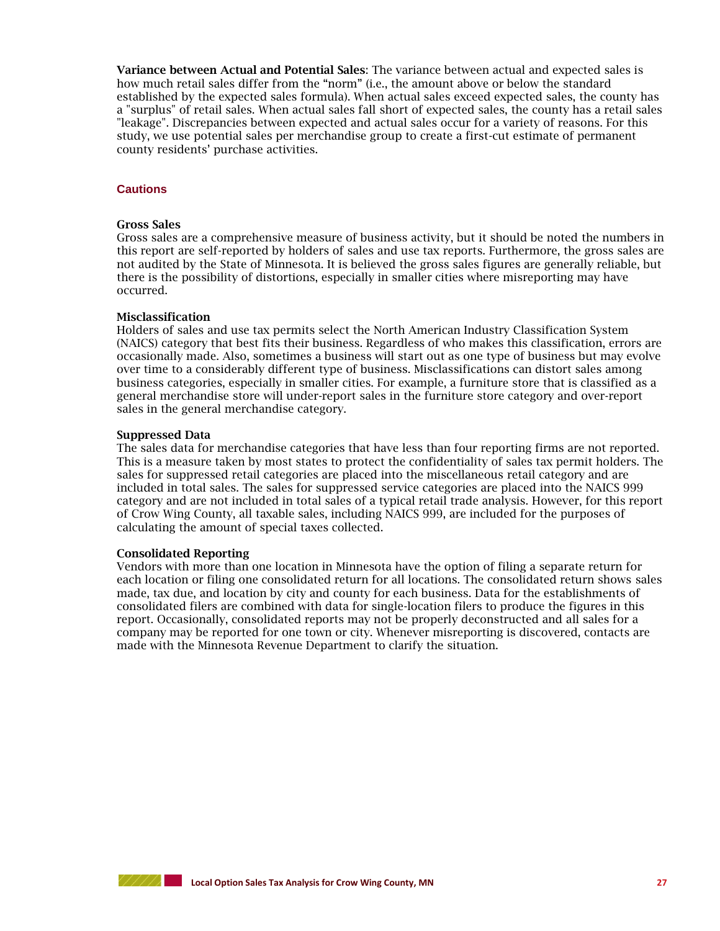**Variance between Actual and Potential Sales**: The variance between actual and expected sales is how much retail sales differ from the "norm" (i.e., the amount above or below the standard established by the expected sales formula). When actual sales exceed expected sales, the county has a "surplus" of retail sales. When actual sales fall short of expected sales, the county has a retail sales "leakage". Discrepancies between expected and actual sales occur for a variety of reasons. For this study, we use potential sales per merchandise group to create a first-cut estimate of permanent county residents' purchase activities.

#### **Cautions**

#### **Gross Sales**

Gross sales are a comprehensive measure of business activity, but it should be noted the numbers in this report are self-reported by holders of sales and use tax reports. Furthermore, the gross sales are not audited by the State of Minnesota. It is believed the gross sales figures are generally reliable, but there is the possibility of distortions, especially in smaller cities where misreporting may have occurred.

#### **Misclassification**

Holders of sales and use tax permits select the North American Industry Classification System (NAICS) category that best fits their business. Regardless of who makes this classification, errors are occasionally made. Also, sometimes a business will start out as one type of business but may evolve over time to a considerably different type of business. Misclassifications can distort sales among business categories, especially in smaller cities. For example, a furniture store that is classified as a general merchandise store will under-report sales in the furniture store category and over-report sales in the general merchandise category.

#### **Suppressed Data**

The sales data for merchandise categories that have less than four reporting firms are not reported. This is a measure taken by most states to protect the confidentiality of sales tax permit holders. The sales for suppressed retail categories are placed into the miscellaneous retail category and are included in total sales. The sales for suppressed service categories are placed into the NAICS 999 category and are not included in total sales of a typical retail trade analysis. However, for this report of Crow Wing County, all taxable sales, including NAICS 999, are included for the purposes of calculating the amount of special taxes collected.

#### **Consolidated Reporting**

Vendors with more than one location in Minnesota have the option of filing a separate return for each location or filing one consolidated return for all locations. The consolidated return shows sales made, tax due, and location by city and county for each business. Data for the establishments of consolidated filers are combined with data for single-location filers to produce the figures in this report. Occasionally, consolidated reports may not be properly deconstructed and all sales for a company may be reported for one town or city. Whenever misreporting is discovered, contacts are made with the Minnesota Revenue Department to clarify the situation.